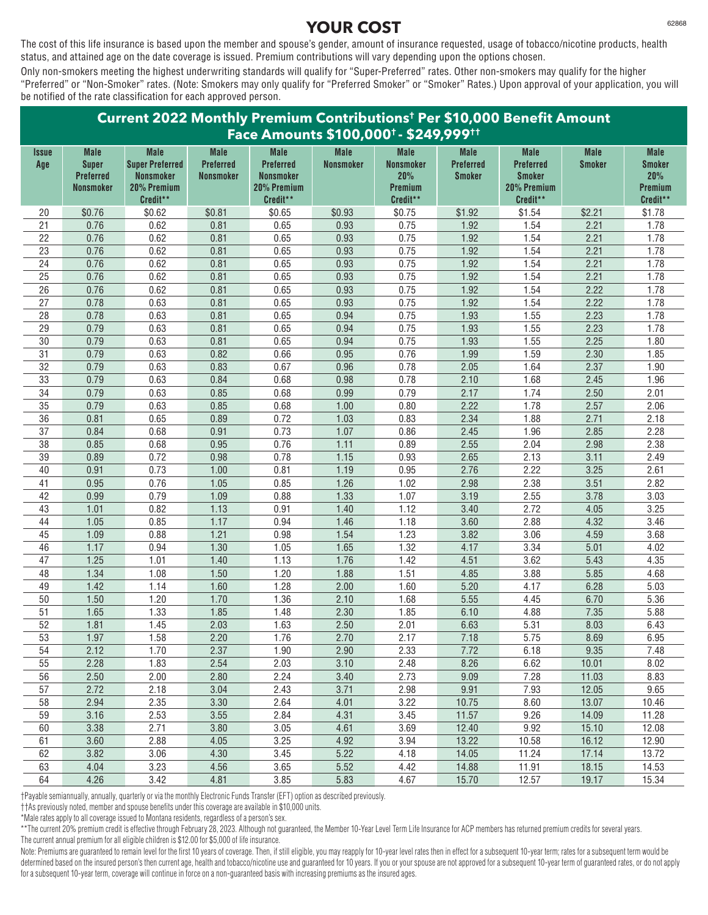The cost of this life insurance is based upon the member and spouse's gender, amount of insurance requested, usage of tobacco/nicotine products, health status, and attained age on the date coverage is issued. Premium contributions will vary depending upon the options chosen.

Only non-smokers meeting the highest underwriting standards will qualify for "Super-Preferred" rates. Other non-smokers may qualify for the higher "Preferred" or "Non-Smoker" rates. (Note: Smokers may only qualify for "Preferred Smoker" or "Smoker" Rates.) Upon approval of your application, you will be notified of the rate classification for each approved person.

| Current 2022 Monthly Premium Contributions <sup>t</sup> Per \$10,000 Benefit Amount |                                                                     |                                                                                      |                                              |                                                                                |                                 |                                                                      |                                                  |                                                                             |                              |                                                            |
|-------------------------------------------------------------------------------------|---------------------------------------------------------------------|--------------------------------------------------------------------------------------|----------------------------------------------|--------------------------------------------------------------------------------|---------------------------------|----------------------------------------------------------------------|--------------------------------------------------|-----------------------------------------------------------------------------|------------------------------|------------------------------------------------------------|
|                                                                                     |                                                                     |                                                                                      |                                              |                                                                                |                                 | Face Amounts \$100,000 <sup>+</sup> - \$249,999 <sup>++</sup>        |                                                  |                                                                             |                              |                                                            |
| Issue<br>Age                                                                        | <b>Male</b><br><b>Super</b><br><b>Preferred</b><br><b>Nonsmoker</b> | <b>Male</b><br><b>Super Preferred</b><br><b>Nonsmoker</b><br>20% Premium<br>Credit** | <b>Male</b><br>Preferred<br><b>Nonsmoker</b> | <b>Male</b><br><b>Preferred</b><br><b>Nonsmoker</b><br>20% Premium<br>Credit** | <b>Male</b><br><b>Nonsmoker</b> | <b>Male</b><br><b>Nonsmoker</b><br>20%<br><b>Premium</b><br>Credit** | <b>Male</b><br><b>Preferred</b><br><b>Smoker</b> | <b>Male</b><br><b>Preferred</b><br><b>Smoker</b><br>20% Premium<br>Credit** | <b>Male</b><br><b>Smoker</b> | <b>Male</b><br><b>Smoker</b><br>20%<br>Premium<br>Credit** |
| 20                                                                                  | \$0.76                                                              | \$0.62                                                                               | \$0.81                                       | \$0.65                                                                         | \$0.93                          | \$0.75                                                               | \$1.92                                           | \$1.54                                                                      | \$2.21                       | \$1.78                                                     |
| 21                                                                                  | 0.76                                                                | 0.62                                                                                 | 0.81                                         | 0.65                                                                           | 0.93                            | 0.75                                                                 | 1.92                                             | 1.54                                                                        | 2.21                         | 1.78                                                       |
| 22                                                                                  | 0.76                                                                | 0.62                                                                                 | 0.81                                         | 0.65                                                                           | 0.93                            | 0.75                                                                 | 1.92                                             | 1.54                                                                        | 2.21                         | 1.78                                                       |
| 23                                                                                  | 0.76                                                                | 0.62                                                                                 | 0.81                                         | 0.65                                                                           | 0.93                            | 0.75                                                                 | 1.92                                             | 1.54                                                                        | 2.21                         | 1.78                                                       |
| 24                                                                                  | 0.76                                                                | 0.62                                                                                 | 0.81                                         | 0.65                                                                           | 0.93                            | 0.75                                                                 | 1.92                                             | 1.54                                                                        | 2.21                         | 1.78                                                       |
| 25                                                                                  | 0.76                                                                | 0.62                                                                                 | 0.81                                         | 0.65                                                                           | 0.93                            | 0.75                                                                 | 1.92                                             | 1.54                                                                        | 2.21                         | 1.78                                                       |
| $\overline{26}$                                                                     | 0.76                                                                | 0.62                                                                                 | 0.81                                         | 0.65                                                                           | 0.93                            | 0.75                                                                 | 1.92                                             | 1.54                                                                        | 2.22                         | 1.78                                                       |
| 27                                                                                  | 0.78                                                                | 0.63                                                                                 | 0.81                                         | 0.65                                                                           | 0.93                            | 0.75                                                                 | 1.92                                             | 1.54                                                                        | 2.22                         | 1.78                                                       |
| 28                                                                                  | 0.78                                                                | 0.63                                                                                 | 0.81                                         | 0.65                                                                           | 0.94                            | 0.75                                                                 | 1.93                                             | 1.55                                                                        | 2.23                         | 1.78                                                       |
| 29                                                                                  | 0.79                                                                | 0.63                                                                                 | 0.81                                         | 0.65                                                                           | 0.94                            | 0.75                                                                 | 1.93                                             | 1.55                                                                        | 2.23                         | 1.78                                                       |
| $30\,$                                                                              | 0.79                                                                | 0.63                                                                                 | 0.81                                         | 0.65                                                                           | 0.94                            | 0.75                                                                 | 1.93                                             | 1.55                                                                        | 2.25                         | 1.80                                                       |
| 31                                                                                  | 0.79                                                                | 0.63                                                                                 | 0.82                                         | 0.66                                                                           | 0.95                            | 0.76                                                                 | 1.99                                             | 1.59                                                                        | 2.30                         | 1.85                                                       |
| 32                                                                                  | 0.79                                                                | 0.63                                                                                 | 0.83                                         | 0.67                                                                           | 0.96                            | 0.78                                                                 | 2.05                                             | 1.64                                                                        | 2.37                         | 1.90                                                       |
| 33<br>$\overline{34}$                                                               | 0.79<br>0.79                                                        | 0.63<br>0.63                                                                         | 0.84<br>0.85                                 | 0.68<br>0.68                                                                   | 0.98<br>0.99                    | 0.78<br>0.79                                                         | 2.10<br>2.17                                     | 1.68<br>1.74                                                                | 2.45<br>2.50                 | 1.96<br>2.01                                               |
|                                                                                     |                                                                     | 0.63                                                                                 |                                              | 0.68                                                                           |                                 | 0.80                                                                 | 2.22                                             | 1.78                                                                        | 2.57                         |                                                            |
| 35<br>36                                                                            | 0.79<br>0.81                                                        | 0.65                                                                                 | 0.85<br>0.89                                 | 0.72                                                                           | 1.00<br>1.03                    | 0.83                                                                 | 2.34                                             | 1.88                                                                        | 2.71                         | 2.06<br>2.18                                               |
| 37                                                                                  |                                                                     | 0.68                                                                                 | 0.91                                         | 0.73                                                                           |                                 | 0.86                                                                 |                                                  | 1.96                                                                        |                              | 2.28                                                       |
| $\overline{38}$                                                                     | 0.84<br>0.85                                                        | 0.68                                                                                 | 0.95                                         | 0.76                                                                           | 1.07<br>1.11                    | 0.89                                                                 | 2.45<br>2.55                                     | 2.04                                                                        | 2.85<br>2.98                 | 2.38                                                       |
| 39                                                                                  | 0.89                                                                | 0.72                                                                                 | 0.98                                         | 0.78                                                                           | 1.15                            | 0.93                                                                 | 2.65                                             | 2.13                                                                        | 3.11                         | 2.49                                                       |
| 40                                                                                  | 0.91                                                                | 0.73                                                                                 | 1.00                                         | 0.81                                                                           | 1.19                            | 0.95                                                                 | 2.76                                             | 2.22                                                                        | 3.25                         | 2.61                                                       |
| 41                                                                                  | 0.95                                                                | 0.76                                                                                 | 1.05                                         | 0.85                                                                           | 1.26                            | 1.02                                                                 | 2.98                                             | 2.38                                                                        | 3.51                         | 2.82                                                       |
| 42                                                                                  | 0.99                                                                | 0.79                                                                                 | 1.09                                         | 0.88                                                                           | 1.33                            | 1.07                                                                 | 3.19                                             | 2.55                                                                        | 3.78                         | 3.03                                                       |
| 43                                                                                  | 1.01                                                                | 0.82                                                                                 | 1.13                                         | 0.91                                                                           | 1.40                            | 1.12                                                                 | 3.40                                             | 2.72                                                                        | 4.05                         | 3.25                                                       |
| 44                                                                                  | 1.05                                                                | 0.85                                                                                 | 1.17                                         | 0.94                                                                           | 1.46                            | 1.18                                                                 | 3.60                                             | 2.88                                                                        | 4.32                         | 3.46                                                       |
| 45                                                                                  | 1.09                                                                | 0.88                                                                                 | 1.21                                         | 0.98                                                                           | 1.54                            | 1.23                                                                 | 3.82                                             | 3.06                                                                        | 4.59                         | 3.68                                                       |
| 46                                                                                  | 1.17                                                                | 0.94                                                                                 | 1.30                                         | 1.05                                                                           | 1.65                            | 1.32                                                                 | 4.17                                             | 3.34                                                                        | 5.01                         | 4.02                                                       |
| 47                                                                                  | 1.25                                                                | 1.01                                                                                 | 1.40                                         | 1.13                                                                           | 1.76                            | 1.42                                                                 | 4.51                                             | 3.62                                                                        | 5.43                         | 4.35                                                       |
| 48                                                                                  | 1.34                                                                | 1.08                                                                                 | 1.50                                         | 1.20                                                                           | 1.88                            | 1.51                                                                 | 4.85                                             | 3.88                                                                        | 5.85                         | 4.68                                                       |
| 49                                                                                  | 1.42                                                                | 1.14                                                                                 | 1.60                                         | 1.28                                                                           | 2.00                            | 1.60                                                                 | 5.20                                             | 4.17                                                                        | 6.28                         | 5.03                                                       |
| 50                                                                                  | 1.50                                                                | 1.20                                                                                 | 1.70                                         | 1.36                                                                           | 2.10                            | 1.68                                                                 | 5.55                                             | 4.45                                                                        | 6.70                         | 5.36                                                       |
| $\overline{51}$                                                                     | 1.65                                                                | 1.33                                                                                 | 1.85                                         | 1.48                                                                           | 2.30                            | 1.85                                                                 | 6.10                                             | 4.88                                                                        | 7.35                         | 5.88                                                       |
| 52                                                                                  | 1.81                                                                | 1.45                                                                                 | 2.03                                         | 1.63                                                                           | 2.50                            | 2.01                                                                 | 6.63                                             | 5.31                                                                        | 8.03                         | 6.43                                                       |
| 53                                                                                  | 1.97                                                                | 1.58                                                                                 | 2.20                                         | 1.76                                                                           | 2.70                            | 2.17                                                                 | 7.18                                             | 5.75                                                                        | 8.69                         | 6.95                                                       |
| 54                                                                                  | 2.12                                                                | 1.70                                                                                 | 2.37                                         | 1.90                                                                           | 2.90                            | 2.33                                                                 | 7.72                                             | 6.18                                                                        | 9.35                         | 7.48                                                       |
| 55                                                                                  | 2.28                                                                | 1.83                                                                                 | 2.54                                         | 2.03                                                                           | 3.10                            | 2.48                                                                 | 8.26                                             | 6.62                                                                        | 10.01                        | 8.02                                                       |
| 56                                                                                  | 2.50                                                                | 2.00                                                                                 | 2.80                                         | 2.24                                                                           | 3.40                            | 2.73                                                                 | 9.09                                             | 7.28                                                                        | 11.03                        | 8.83                                                       |
| 57                                                                                  | 2.72                                                                | 2.18                                                                                 | 3.04                                         | 2.43                                                                           | 3.71                            | 2.98                                                                 | 9.91                                             | 7.93                                                                        | 12.05                        | 9.65                                                       |
| 58                                                                                  | 2.94                                                                | 2.35                                                                                 | 3.30                                         | 2.64                                                                           | 4.01                            | 3.22                                                                 | 10.75                                            | 8.60                                                                        | 13.07                        | 10.46                                                      |
| 59                                                                                  | 3.16                                                                | 2.53                                                                                 | 3.55                                         | 2.84                                                                           | 4.31                            | 3.45                                                                 | 11.57                                            | 9.26                                                                        | 14.09                        | 11.28                                                      |
| 60                                                                                  | 3.38                                                                | 2.71                                                                                 | 3.80                                         | 3.05                                                                           | 4.61                            | 3.69                                                                 | 12.40                                            | 9.92                                                                        | 15.10                        | 12.08                                                      |
| 61                                                                                  | 3.60                                                                | 2.88                                                                                 | 4.05                                         | 3.25                                                                           | 4.92                            | 3.94                                                                 | 13.22                                            | 10.58                                                                       | 16.12                        | 12.90                                                      |
| 62                                                                                  | 3.82                                                                | 3.06                                                                                 | 4.30                                         | 3.45                                                                           | 5.22                            | 4.18                                                                 | 14.05                                            | 11.24                                                                       | 17.14                        | 13.72                                                      |
| 63                                                                                  | 4.04                                                                | 3.23                                                                                 | 4.56                                         | 3.65                                                                           | 5.52                            | 4.42                                                                 | 14.88                                            | 11.91                                                                       | 18.15                        | 14.53                                                      |
| 64                                                                                  | 4.26                                                                | 3.42                                                                                 | 4.81                                         | 3.85                                                                           | 5.83                            | 4.67                                                                 | 15.70                                            | 12.57                                                                       | 19.17                        | 15.34                                                      |

†Payable semiannually, annually, quarterly or via the monthly Electronic Funds Transfer (EFT) option as described previously.

††As previously noted, member and spouse benefits under this coverage are available in \$10,000 units.

\*Male rates apply to all coverage issued to Montana residents, regardless of a person's sex.

\*\*The current 20% premium credit is effective through February 28, 2023. Although not guaranteed, the Member 10-Year Level Term Life Insurance for ACP members has returned premium credits for several years. The current annual premium for all eligible children is \$12.00 for \$5,000 of life insurance.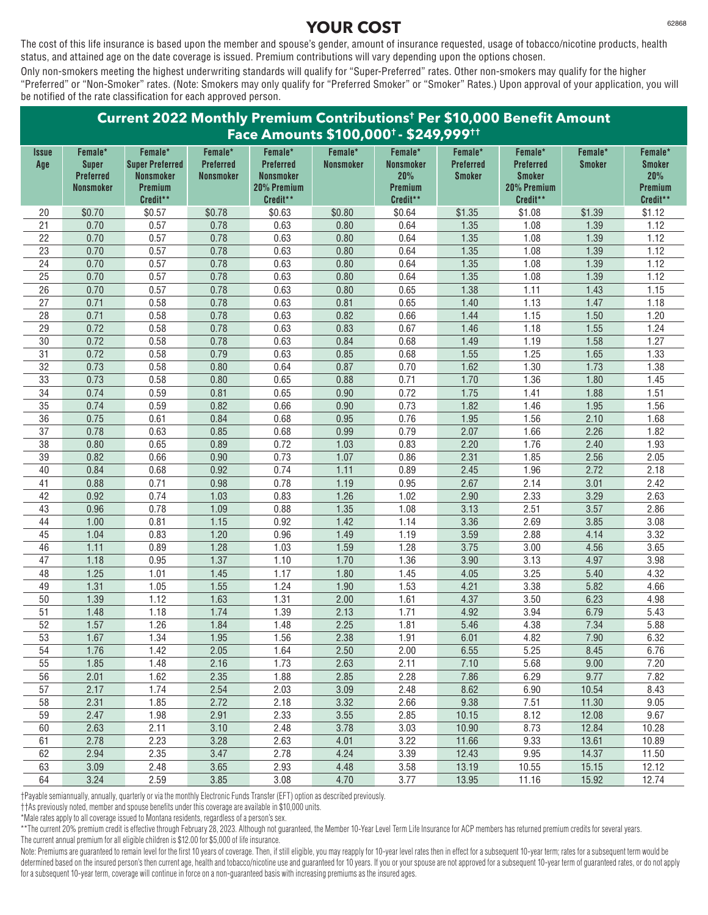The cost of this life insurance is based upon the member and spouse's gender, amount of insurance requested, usage of tobacco/nicotine products, health status, and attained age on the date coverage is issued. Premium contributions will vary depending upon the options chosen.

Only non-smokers meeting the highest underwriting standards will qualify for "Super-Preferred" rates. Other non-smokers may qualify for the higher "Preferred" or "Non-Smoker" rates. (Note: Smokers may only qualify for "Preferred Smoker" or "Smoker" Rates.) Upon approval of your application, you will be notified of the rate classification for each approved person.

#### **Current 2022 Monthly Premium Contributions† Per \$10,000 Benefit Amount Face Amounts \$100,000† - \$249,999†† Issue Female\* Female\* Female\* Female\* Female\* Female\* Female\* Female\* Female\* Female\* Age Super Super Preferred Preferred Preferred Nonsmoker Nonsmoker Preferred Preferred Smoker Smoker Preferred Nonsmoker Nonsmoker Nonsmoker 20% Smoker Smoker 20% Nonsmoker Premium 20% Premium Premium 20% Premium Premium Credit\*\* Credit\*\* Credit\*\* Credit\*\* Credit\*\*** \$0.70 \$0.57 \$0.78 \$0.63 \$0.80 \$0.64 \$1.35 \$1.08 \$1.39 \$1.12 0.70 0.57 0.78 0.63 0.80 0.64 1.35 1.08 1.39 1.12 0.70 0.57 0.78 0.63 0.80 0.64 1.35 1.08 1.39 1.12 0.70 0.57 0.78 0.63 0.80 0.64 1.35 1.08 1.39 1.12 0.70 0.57 0.78 0.63 0.80 0.64 1.35 1.08 1.39 1.12 0.70 0.57 0.78 0.63 0.80 0.64 1.35 1.08 1.39 1.12 0.70 0.57 0.78 0.63 0.80 0.65 1.38 1.11 1.43 1.15 0.71 0.58 0.78 0.63 0.81 0.65 1.40 1.13 1.47 1.18 0.71 0.58 0.78 0.63 0.82 0.66 1.44 1.15 1.50 1.20 0.72 0.58 0.78 0.63 0.83 0.67 1.46 1.18 1.55 1.24 0.72 0.58 0.78 0.63 0.84 0.68 1.49 1.19 1.58 1.27 0.72 0.58 0.79 0.63 0.85 0.68 1.55 1.25 1.65 1.33 0.73 0.58 0.80 0.64 0.87 0.70 1.62 1.30 1.73 1.38 0.73 0.58 0.80 0.65 0.88 0.71 1.70 1.36 1.80 1.45 0.74 0.59 0.81 0.65 0.90 0.72 1.75 1.41 1.88 1.51 0.74 0.59 0.82 0.66 0.90 0.73 1.82 1.46 1.95 1.56 0.75 0.61 0.84 0.68 0.95 0.76 1.95 1.56 2.10 1.68 0.78 0.63 0.85 0.68 0.99 0.79 2.07 1.66 2.26 1.82 0.80 0.65 0.89 0.72 1.03 0.83 2.20 1.76 2.40 1.93 0.82 0.66 0.90 0.73 1.07 0.86 2.31 1.85 2.56 2.05 0.84 0.68 0.92 0.74 1.11 0.89 2.45 1.96 2.72 2.18 0.88 0.71 0.98 0.78 1.19 0.95 2.67 2.14 3.01 2.42 0.92 0.74 1.03 0.83 1.26 1.02 2.90 2.33 3.29 2.63 0.96 0.78 1.09 0.88 1.35 1.08 3.13 2.51 3.57 2.86 1.00 0.81 1.15 0.92 1.42 1.14 3.36 2.69 3.85 3.08 1.04 0.83 1.20 0.96 1.49 1.19 3.59 2.88 4.14 3.32 1.11 0.89 1.28 1.03 1.59 1.28 3.75 3.00 4.56 3.65 1.18 0.95 1.37 1.10 1.70 1.36 3.90 3.13 4.97 3.98 1.25 1.01 1.45 1.17 1.80 1.45 4.05 3.25 5.40 4.32 1.31 1.05 1.55 1.24 1.90 1.53 4.21 3.38 5.82 4.66 1.39 1.12 1.63 1.31 2.00 1.61 4.37 3.50 6.23 4.98 1.48 1.18 1.74 1.39 2.13 1.71 4.92 3.94 6.79 5.43 1.57 1.26 1.84 1.48 2.25 1.81 5.46 4.38 7.34 5.88 1.67 1.34 1.95 1.56 2.38 1.91 6.01 4.82 7.90 6.32 1.76 1.42 2.05 1.64 2.50 2.00 6.55 5.25 8.45 6.76 1.85 1.48 2.16 1.73 2.63 2.11 7.10 5.68 9.00 7.20 2.01 1.62 2.35 1.88 2.85 2.28 7.86 6.29 9.77 7.82 2.17 1.74 2.54 2.03 3.09 2.48 8.62 6.90 10.54 8.43 2.31 1.85 2.72 2.18 3.32 2.66 9.38 7.51 11.30 9.05 2.47 1.98 2.91 2.33 3.55 2.85 10.15 8.12 12.08 9.67 2.63 2.11 3.10 2.48 3.78 3.03 10.90 8.73 12.84 10.28 2.78 2.23 3.28 2.63 4.01 3.22 11.66 9.33 13.61 10.89 2.94 2.35 3.47 2.78 4.24 3.39 12.43 9.95 14.37 11.50 3.09 2.48 3.65 2.93 4.48 3.58 13.19 10.55 15.15 12.12 3.24 2.59 3.85 3.08 4.70 3.77 13.95 11.16 15.92 12.74

†Payable semiannually, annually, quarterly or via the monthly Electronic Funds Transfer (EFT) option as described previously.

††As previously noted, member and spouse benefits under this coverage are available in \$10,000 units.

\*Male rates apply to all coverage issued to Montana residents, regardless of a person's sex.

\*\*The current 20% premium credit is effective through February 28, 2023. Although not guaranteed, the Member 10-Year Level Term Life Insurance for ACP members has returned premium credits for several years. The current annual premium for all eligible children is \$12.00 for \$5,000 of life insurance.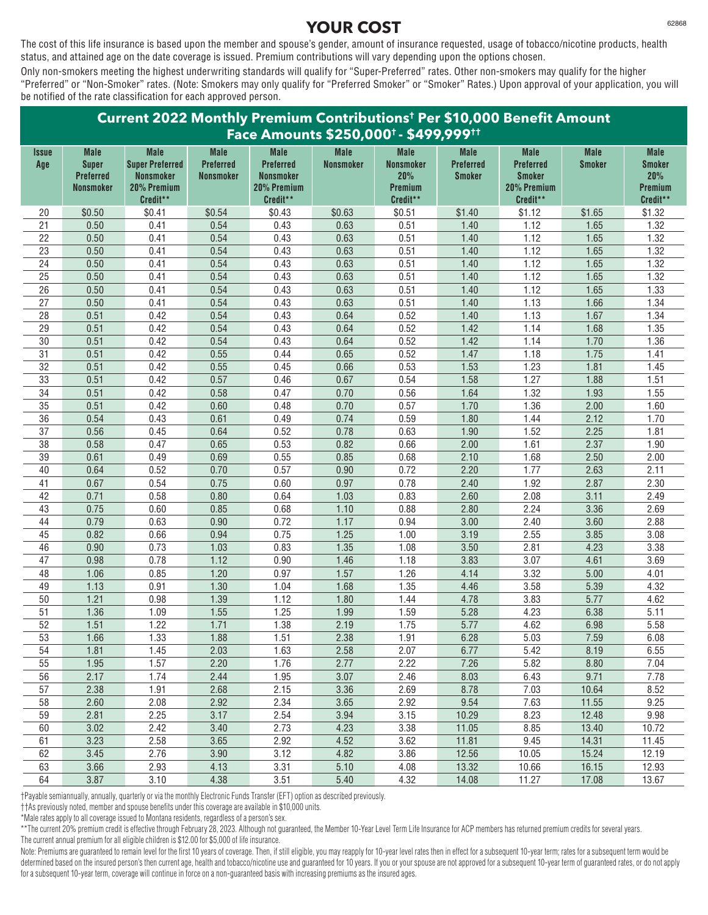The cost of this life insurance is based upon the member and spouse's gender, amount of insurance requested, usage of tobacco/nicotine products, health status, and attained age on the date coverage is issued. Premium contributions will vary depending upon the options chosen.

Only non-smokers meeting the highest underwriting standards will qualify for "Super-Preferred" rates. Other non-smokers may qualify for the higher "Preferred" or "Non-Smoker" rates. (Note: Smokers may only qualify for "Preferred Smoker" or "Smoker" Rates.) Upon approval of your application, you will be notified of the rate classification for each approved person.

| Current 2022 Monthly Premium Contributions <sup>t</sup> Per \$10,000 Benefit Amount |                                                                     |                                                                                      |                                              |                                                                                |                                 |                                                               |                                                  |                                                                             |                              |                                                            |
|-------------------------------------------------------------------------------------|---------------------------------------------------------------------|--------------------------------------------------------------------------------------|----------------------------------------------|--------------------------------------------------------------------------------|---------------------------------|---------------------------------------------------------------|--------------------------------------------------|-----------------------------------------------------------------------------|------------------------------|------------------------------------------------------------|
|                                                                                     |                                                                     |                                                                                      |                                              | Face Amounts \$250,000 <sup>+</sup> - \$499,999 <sup>++</sup>                  |                                 |                                                               |                                                  |                                                                             |                              |                                                            |
| Issue<br>Age                                                                        | <b>Male</b><br><b>Super</b><br><b>Preferred</b><br><b>Nonsmoker</b> | <b>Male</b><br><b>Super Preferred</b><br><b>Nonsmoker</b><br>20% Premium<br>Credit** | <b>Male</b><br>Preferred<br><b>Nonsmoker</b> | <b>Male</b><br><b>Preferred</b><br><b>Nonsmoker</b><br>20% Premium<br>Credit** | <b>Male</b><br><b>Nonsmoker</b> | <b>Male</b><br><b>Nonsmoker</b><br>20%<br>Premium<br>Credit** | <b>Male</b><br><b>Preferred</b><br><b>Smoker</b> | <b>Male</b><br><b>Preferred</b><br><b>Smoker</b><br>20% Premium<br>Credit** | <b>Male</b><br><b>Smoker</b> | <b>Male</b><br><b>Smoker</b><br>20%<br>Premium<br>Credit** |
| 20                                                                                  | \$0.50                                                              | \$0.41                                                                               | \$0.54                                       | \$0.43                                                                         | \$0.63                          | \$0.51                                                        | \$1.40                                           | \$1.12                                                                      | \$1.65                       | \$1.32                                                     |
| 21                                                                                  | 0.50                                                                | 0.41                                                                                 | 0.54                                         | 0.43                                                                           | 0.63                            | 0.51                                                          | 1.40                                             | 1.12                                                                        | 1.65                         | 1.32                                                       |
| 22                                                                                  | 0.50                                                                | 0.41                                                                                 | 0.54                                         | 0.43                                                                           | 0.63                            | 0.51                                                          | 1.40                                             | 1.12                                                                        | 1.65                         | 1.32                                                       |
| 23                                                                                  | 0.50                                                                | 0.41                                                                                 | 0.54                                         | 0.43                                                                           | 0.63                            | 0.51                                                          | 1.40                                             | 1.12                                                                        | 1.65                         | 1.32                                                       |
| 24                                                                                  | 0.50                                                                | 0.41                                                                                 | 0.54                                         | 0.43                                                                           | 0.63                            | 0.51                                                          | 1.40                                             | 1.12                                                                        | 1.65                         | 1.32                                                       |
| 25                                                                                  | 0.50                                                                | 0.41                                                                                 | 0.54                                         | 0.43                                                                           | 0.63                            | 0.51                                                          | 1.40                                             | 1.12                                                                        | 1.65                         | 1.32                                                       |
| $\overline{26}$                                                                     | 0.50                                                                | 0.41                                                                                 | 0.54                                         | 0.43                                                                           | 0.63                            | 0.51                                                          | 1.40                                             | 1.12                                                                        | 1.65                         | 1.33                                                       |
| 27                                                                                  | 0.50                                                                | 0.41                                                                                 | 0.54                                         | 0.43                                                                           | 0.63                            | 0.51                                                          | 1.40                                             | 1.13                                                                        | 1.66                         | 1.34                                                       |
| 28                                                                                  | 0.51                                                                | 0.42                                                                                 | 0.54                                         | 0.43                                                                           | 0.64                            | 0.52                                                          | 1.40                                             | 1.13                                                                        | 1.67                         | 1.34                                                       |
| 29                                                                                  | 0.51                                                                | 0.42                                                                                 | 0.54                                         | 0.43                                                                           | 0.64                            | 0.52                                                          | 1.42                                             | 1.14                                                                        | 1.68                         | 1.35                                                       |
| $30\,$                                                                              | 0.51                                                                | 0.42                                                                                 | 0.54                                         | 0.43                                                                           | 0.64                            | 0.52                                                          | 1.42                                             | 1.14                                                                        | 1.70                         | 1.36                                                       |
| 31                                                                                  | 0.51                                                                | 0.42                                                                                 | 0.55                                         | 0.44                                                                           | 0.65                            | 0.52                                                          | 1.47                                             | 1.18                                                                        | 1.75                         | 1.41                                                       |
| 32                                                                                  | 0.51                                                                | 0.42                                                                                 | 0.55                                         | 0.45                                                                           | 0.66                            | 0.53                                                          | 1.53                                             | 1.23                                                                        | 1.81                         | 1.45                                                       |
| 33                                                                                  | 0.51                                                                | 0.42                                                                                 | 0.57                                         | 0.46                                                                           | 0.67                            | 0.54                                                          | 1.58                                             | 1.27                                                                        | 1.88                         | 1.51                                                       |
| 34                                                                                  | 0.51                                                                | 0.42                                                                                 | 0.58                                         | 0.47                                                                           | 0.70                            | 0.56                                                          | 1.64                                             | 1.32                                                                        | 1.93                         | 1.55                                                       |
| 35                                                                                  | 0.51                                                                | 0.42                                                                                 | 0.60                                         | 0.48                                                                           | 0.70                            | 0.57                                                          | 1.70                                             | 1.36                                                                        | 2.00                         | 1.60                                                       |
| 36                                                                                  | 0.54                                                                | 0.43                                                                                 | 0.61                                         | 0.49                                                                           | 0.74                            | 0.59                                                          | 1.80                                             | 1.44                                                                        | 2.12                         | 1.70                                                       |
| 37                                                                                  | 0.56                                                                | 0.45                                                                                 | 0.64                                         | 0.52                                                                           | 0.78                            | 0.63                                                          | 1.90                                             | 1.52                                                                        | 2.25                         | 1.81                                                       |
| 38                                                                                  | 0.58                                                                | 0.47                                                                                 | 0.65                                         | 0.53                                                                           | 0.82                            | 0.66                                                          | 2.00                                             | 1.61                                                                        | 2.37                         | 1.90                                                       |
| 39                                                                                  | 0.61                                                                | 0.49                                                                                 | 0.69                                         | 0.55                                                                           | 0.85                            | 0.68                                                          | 2.10                                             | 1.68                                                                        | 2.50                         | 2.00                                                       |
| 40                                                                                  | 0.64                                                                | 0.52                                                                                 | 0.70                                         | 0.57                                                                           | 0.90                            | 0.72                                                          | 2.20                                             | 1.77                                                                        | 2.63                         | 2.11                                                       |
| 41                                                                                  | 0.67                                                                | 0.54                                                                                 | 0.75                                         | 0.60                                                                           | 0.97                            | 0.78                                                          | 2.40                                             | 1.92                                                                        | 2.87                         | 2.30                                                       |
| 42                                                                                  | 0.71                                                                | 0.58                                                                                 | 0.80                                         | 0.64                                                                           | 1.03                            | 0.83                                                          | 2.60                                             | 2.08                                                                        | 3.11                         | 2.49                                                       |
| 43                                                                                  | 0.75                                                                | 0.60                                                                                 | 0.85                                         | 0.68                                                                           | 1.10                            | 0.88                                                          | 2.80                                             | 2.24                                                                        | 3.36                         | 2.69                                                       |
| 44                                                                                  | 0.79                                                                | 0.63                                                                                 | 0.90                                         | 0.72                                                                           | 1.17                            | 0.94                                                          | 3.00                                             | 2.40                                                                        | 3.60                         | 2.88                                                       |
| 45                                                                                  | 0.82                                                                | 0.66                                                                                 | 0.94                                         | 0.75                                                                           | 1.25                            | 1.00                                                          | 3.19                                             | 2.55                                                                        | 3.85                         | 3.08                                                       |
| 46                                                                                  | 0.90                                                                | 0.73                                                                                 | 1.03                                         | 0.83                                                                           | 1.35                            | 1.08                                                          | 3.50                                             | 2.81                                                                        | 4.23                         | 3.38                                                       |
| 47                                                                                  | 0.98                                                                | 0.78                                                                                 | 1.12                                         | 0.90                                                                           | 1.46                            | 1.18                                                          | 3.83                                             | 3.07                                                                        | 4.61                         | 3.69                                                       |
| 48                                                                                  | 1.06                                                                | 0.85                                                                                 | 1.20                                         | 0.97                                                                           | 1.57                            | 1.26                                                          | 4.14                                             | 3.32                                                                        | 5.00                         | 4.01                                                       |
| 49                                                                                  | 1.13                                                                | 0.91                                                                                 | 1.30                                         | 1.04                                                                           | 1.68                            | 1.35                                                          | 4.46                                             | 3.58                                                                        | 5.39                         | 4.32                                                       |
| 50<br>$\overline{51}$                                                               | 1.21<br>1.36                                                        | 0.98                                                                                 | 1.39<br>1.55                                 | 1.12<br>1.25                                                                   | 1.80                            | 1.44<br>1.59                                                  | 4.78<br>5.28                                     | 3.83                                                                        | 5.77<br>6.38                 | 4.62<br>5.11                                               |
| 52                                                                                  | 1.51                                                                | 1.09<br>1.22                                                                         | 1.71                                         | 1.38                                                                           | 1.99<br>2.19                    | 1.75                                                          | 5.77                                             | 4.23<br>4.62                                                                | 6.98                         | 5.58                                                       |
| 53                                                                                  | 1.66                                                                |                                                                                      | 1.88                                         | 1.51                                                                           |                                 |                                                               | 6.28                                             | 5.03                                                                        |                              | 6.08                                                       |
| 54                                                                                  | 1.81                                                                | 1.33<br>1.45                                                                         | 2.03                                         | 1.63                                                                           | 2.38<br>2.58                    | 1.91<br>2.07                                                  | 6.77                                             | 5.42                                                                        | 7.59<br>8.19                 | 6.55                                                       |
| 55                                                                                  | 1.95                                                                | 1.57                                                                                 | 2.20                                         | 1.76                                                                           | 2.77                            | 2.22                                                          | 7.26                                             | 5.82                                                                        | 8.80                         | 7.04                                                       |
| 56                                                                                  | 2.17                                                                | 1.74                                                                                 | 2.44                                         | 1.95                                                                           | 3.07                            | 2.46                                                          | 8.03                                             | 6.43                                                                        | 9.71                         | 7.78                                                       |
| 57                                                                                  | 2.38                                                                | 1.91                                                                                 | 2.68                                         | 2.15                                                                           | 3.36                            | 2.69                                                          | 8.78                                             | 7.03                                                                        |                              | 8.52                                                       |
| 58                                                                                  | 2.60                                                                | 2.08                                                                                 | 2.92                                         | 2.34                                                                           | 3.65                            | 2.92                                                          | 9.54                                             | 7.63                                                                        | 10.64<br>11.55               | 9.25                                                       |
| 59                                                                                  | 2.81                                                                | 2.25                                                                                 | 3.17                                         | 2.54                                                                           | 3.94                            | 3.15                                                          | 10.29                                            | 8.23                                                                        | 12.48                        | 9.98                                                       |
| 60                                                                                  | 3.02                                                                | 2.42                                                                                 | 3.40                                         | 2.73                                                                           | 4.23                            | 3.38                                                          | 11.05                                            | 8.85                                                                        | 13.40                        | 10.72                                                      |
| 61                                                                                  | 3.23                                                                | 2.58                                                                                 | 3.65                                         | 2.92                                                                           | 4.52                            | 3.62                                                          | 11.81                                            | 9.45                                                                        | 14.31                        | 11.45                                                      |
| 62                                                                                  | 3.45                                                                | 2.76                                                                                 | 3.90                                         | 3.12                                                                           | 4.82                            | 3.86                                                          | 12.56                                            | 10.05                                                                       | 15.24                        | 12.19                                                      |
| 63                                                                                  | 3.66                                                                | 2.93                                                                                 | 4.13                                         | 3.31                                                                           | 5.10                            | 4.08                                                          | 13.32                                            | 10.66                                                                       | 16.15                        | 12.93                                                      |
| 64                                                                                  | 3.87                                                                | 3.10                                                                                 | 4.38                                         | 3.51                                                                           | 5.40                            | 4.32                                                          | 14.08                                            | 11.27                                                                       | 17.08                        | 13.67                                                      |
|                                                                                     |                                                                     |                                                                                      |                                              |                                                                                |                                 |                                                               |                                                  |                                                                             |                              |                                                            |

†Payable semiannually, annually, quarterly or via the monthly Electronic Funds Transfer (EFT) option as described previously.

††As previously noted, member and spouse benefits under this coverage are available in \$10,000 units.

\*Male rates apply to all coverage issued to Montana residents, regardless of a person's sex.

\*\*The current 20% premium credit is effective through February 28, 2023. Although not guaranteed, the Member 10-Year Level Term Life Insurance for ACP members has returned premium credits for several years. The current annual premium for all eligible children is \$12.00 for \$5,000 of life insurance.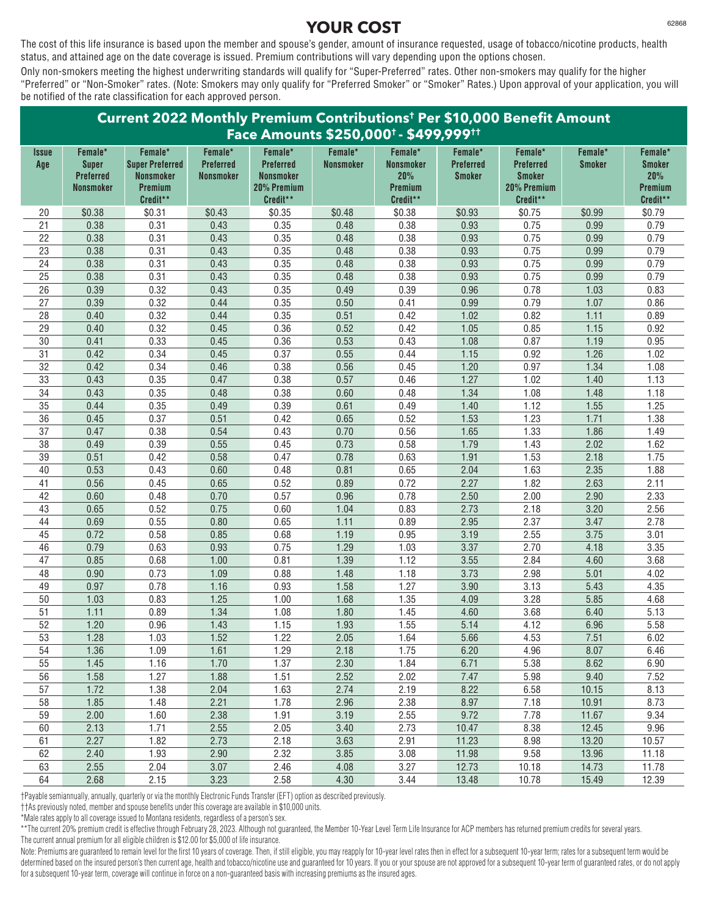The cost of this life insurance is based upon the member and spouse's gender, amount of insurance requested, usage of tobacco/nicotine products, health status, and attained age on the date coverage is issued. Premium contributions will vary depending upon the options chosen.

Only non-smokers meeting the highest underwriting standards will qualify for "Super-Preferred" rates. Other non-smokers may qualify for the higher "Preferred" or "Non-Smoker" rates. (Note: Smokers may only qualify for "Preferred Smoker" or "Smoker" Rates.) Upon approval of your application, you will be notified of the rate classification for each approved person.

| Current 2022 Monthly Premium Contributions <sup>t</sup> Per \$10,000 Benefit Amount |                                                      |                                                                   |                                      |                                                                          |                  |                                                |                                   |                                                              |               |                                             |
|-------------------------------------------------------------------------------------|------------------------------------------------------|-------------------------------------------------------------------|--------------------------------------|--------------------------------------------------------------------------|------------------|------------------------------------------------|-----------------------------------|--------------------------------------------------------------|---------------|---------------------------------------------|
| <i><b>Issue</b></i>                                                                 | Female*                                              | Female*                                                           | Female*                              | Face Amounts \$250,000 <sup>t</sup> - \$499,999 <sup>tt</sup><br>Female* | Female*          | Female*                                        | Female*                           | Female*                                                      | Female*       | Female*                                     |
| Age                                                                                 | <b>Super</b><br><b>Preferred</b><br><b>Nonsmoker</b> | <b>Super Preferred</b><br><b>Nonsmoker</b><br>Premium<br>Credit** | <b>Preferred</b><br><b>Nonsmoker</b> | <b>Preferred</b><br><b>Nonsmoker</b><br>20% Premium<br>Credit**          | <b>Nonsmoker</b> | <b>Nonsmoker</b><br>20%<br>Premium<br>Credit** | <b>Preferred</b><br><b>Smoker</b> | <b>Preferred</b><br><b>Smoker</b><br>20% Premium<br>Credit** | <b>Smoker</b> | <b>Smoker</b><br>20%<br>Premium<br>Credit** |
| 20                                                                                  | \$0.38                                               | \$0.31                                                            | \$0.43                               | \$0.35                                                                   | \$0.48           | \$0.38                                         | \$0.93                            | \$0.75                                                       | \$0.99        | \$0.79                                      |
| 21                                                                                  | 0.38                                                 | 0.31                                                              | 0.43                                 | 0.35                                                                     | 0.48             | 0.38                                           | 0.93                              | 0.75                                                         | 0.99          | 0.79                                        |
| 22                                                                                  | 0.38                                                 | 0.31                                                              | 0.43                                 | 0.35                                                                     | 0.48             | 0.38                                           | 0.93                              | 0.75                                                         | 0.99          | 0.79                                        |
| 23                                                                                  | 0.38                                                 | 0.31                                                              | 0.43                                 | 0.35                                                                     | 0.48             | 0.38                                           | 0.93                              | 0.75                                                         | 0.99          | 0.79                                        |
| 24                                                                                  | 0.38                                                 | 0.31                                                              | 0.43                                 | 0.35                                                                     | 0.48             | 0.38                                           | 0.93                              | 0.75                                                         | 0.99          | 0.79                                        |
| $\overline{25}$                                                                     | 0.38                                                 | 0.31                                                              | 0.43                                 | 0.35                                                                     | 0.48             | 0.38                                           | 0.93                              | 0.75                                                         | 0.99          | 0.79                                        |
| 26                                                                                  | 0.39                                                 | 0.32                                                              | 0.43                                 | 0.35                                                                     | 0.49             | 0.39                                           | 0.96                              | 0.78                                                         | 1.03          | 0.83                                        |
| 27                                                                                  | 0.39                                                 | 0.32                                                              | 0.44                                 | 0.35                                                                     | 0.50             | 0.41                                           | 0.99                              | 0.79                                                         | 1.07          | 0.86                                        |
| 28                                                                                  | 0.40                                                 | 0.32                                                              | 0.44                                 | 0.35                                                                     | 0.51             | 0.42                                           | 1.02                              | 0.82                                                         | 1.11          | 0.89                                        |
| 29                                                                                  | 0.40                                                 | 0.32                                                              | 0.45                                 | 0.36                                                                     | 0.52             | 0.42                                           | 1.05                              | 0.85                                                         | 1.15          | 0.92                                        |
| $\overline{30}$                                                                     | 0.41                                                 | 0.33                                                              | 0.45                                 | 0.36                                                                     | 0.53             | 0.43                                           | 1.08                              | 0.87                                                         | 1.19          | 0.95                                        |
| 31                                                                                  | 0.42                                                 | 0.34                                                              | 0.45                                 | 0.37                                                                     | 0.55             | 0.44                                           | 1.15                              | 0.92                                                         | 1.26          | 1.02                                        |
| $\overline{32}$                                                                     | 0.42                                                 | 0.34                                                              | 0.46                                 | 0.38                                                                     | 0.56             | 0.45                                           | 1.20                              | 0.97                                                         | 1.34          | 1.08                                        |
| 33                                                                                  | 0.43                                                 | 0.35                                                              | 0.47                                 | 0.38                                                                     | 0.57             | 0.46                                           | 1.27                              | 1.02                                                         | 1.40          | 1.13                                        |
| 34                                                                                  | 0.43                                                 | 0.35                                                              | 0.48                                 | 0.38                                                                     | 0.60             | 0.48                                           | 1.34                              | 1.08                                                         | 1.48          | 1.18                                        |
| 35                                                                                  | 0.44                                                 | 0.35                                                              | 0.49                                 | 0.39                                                                     | 0.61             | 0.49                                           | 1.40                              | 1.12                                                         | 1.55          | 1.25                                        |
| 36                                                                                  | 0.45                                                 | 0.37                                                              | 0.51                                 | 0.42                                                                     | 0.65             | 0.52                                           | 1.53                              | 1.23                                                         | 1.71          | 1.38                                        |
| 37                                                                                  | 0.47                                                 | 0.38                                                              | 0.54                                 | 0.43                                                                     | 0.70             | 0.56                                           | 1.65                              | 1.33                                                         | 1.86          | 1.49                                        |
| $\overline{38}$                                                                     | 0.49                                                 | 0.39                                                              | 0.55                                 | 0.45                                                                     | 0.73             | 0.58                                           | 1.79                              | 1.43                                                         | 2.02          | 1.62                                        |
| 39                                                                                  | 0.51                                                 | 0.42                                                              | 0.58                                 | 0.47                                                                     | 0.78             | 0.63                                           | 1.91                              | 1.53                                                         | 2.18          | 1.75                                        |
| 40                                                                                  | 0.53                                                 | 0.43                                                              | 0.60                                 | 0.48                                                                     | 0.81             | 0.65                                           | 2.04                              | 1.63                                                         | 2.35          | 1.88                                        |
| 41                                                                                  | 0.56                                                 | 0.45                                                              | 0.65                                 | 0.52                                                                     | 0.89             | 0.72                                           | 2.27                              | 1.82                                                         | 2.63          | 2.11                                        |
| 42                                                                                  | 0.60                                                 | 0.48                                                              | 0.70                                 | 0.57                                                                     | 0.96             | 0.78                                           | 2.50                              | 2.00                                                         | 2.90          | 2.33                                        |
| 43                                                                                  | 0.65                                                 | 0.52                                                              | 0.75                                 | 0.60                                                                     | 1.04             | 0.83                                           | 2.73                              | 2.18                                                         | 3.20          | 2.56                                        |
| 44                                                                                  | 0.69                                                 | 0.55                                                              | 0.80                                 | 0.65                                                                     | 1.11             | 0.89                                           | 2.95                              | 2.37                                                         | 3.47          | 2.78                                        |
| 45                                                                                  | 0.72                                                 | 0.58                                                              | 0.85                                 | 0.68                                                                     | 1.19             | 0.95                                           | 3.19                              | 2.55                                                         | 3.75          | 3.01                                        |
| 46                                                                                  | 0.79                                                 | 0.63                                                              | 0.93                                 | 0.75                                                                     | 1.29             | 1.03                                           | 3.37                              | 2.70                                                         | 4.18          | 3.35                                        |
| 47                                                                                  | 0.85                                                 | 0.68                                                              | 1.00                                 | 0.81                                                                     | 1.39             | 1.12                                           | 3.55                              | 2.84                                                         | 4.60          | 3.68                                        |
| 48                                                                                  | 0.90                                                 | 0.73                                                              | 1.09                                 | 0.88                                                                     | 1.48             | 1.18                                           | 3.73                              | 2.98                                                         | 5.01          | 4.02                                        |
| 49                                                                                  | 0.97                                                 | 0.78                                                              | 1.16                                 | 0.93                                                                     | 1.58             | 1.27                                           | 3.90                              | 3.13                                                         | 5.43          | 4.35                                        |
| 50                                                                                  | 1.03                                                 | 0.83                                                              | 1.25                                 | 1.00                                                                     | 1.68             | 1.35                                           | 4.09                              | 3.28                                                         | 5.85          | 4.68                                        |
| $\overline{51}$                                                                     | 1.11                                                 | 0.89                                                              | 1.34                                 | 1.08                                                                     | 1.80             | 1.45                                           | 4.60                              | 3.68                                                         | 6.40          | 5.13                                        |
| 52                                                                                  | 1.20                                                 | 0.96                                                              | 1.43                                 | 1.15                                                                     | 1.93             | 1.55                                           | 5.14                              | 4.12                                                         | 6.96          | 5.58                                        |
| 53                                                                                  | 1.28                                                 | 1.03                                                              | 1.52                                 | 1.22                                                                     | 2.05             | 1.64                                           | 5.66                              | 4.53                                                         | 7.51          | 6.02                                        |
| 54                                                                                  | 1.36                                                 | 1.09                                                              | 1.61                                 | 1.29                                                                     | 2.18             | 1.75                                           | 6.20                              | 4.96                                                         | 8.07          | 6.46                                        |
| 55                                                                                  | 1.45                                                 | 1.16                                                              | 1.70                                 | 1.37                                                                     | 2.30             | 1.84                                           | 6.71                              | 5.38                                                         | 8.62          | 6.90                                        |
| 56                                                                                  | 1.58                                                 | 1.27                                                              | 1.88                                 | 1.51                                                                     | 2.52             | 2.02                                           | 7.47                              | 5.98                                                         | 9.40          | 7.52                                        |
| 57                                                                                  | 1.72                                                 | 1.38                                                              | 2.04                                 | 1.63                                                                     | 2.74             | 2.19                                           | 8.22                              | 6.58                                                         | 10.15         | 8.13                                        |
| 58                                                                                  | 1.85                                                 | 1.48                                                              | 2.21                                 | 1.78                                                                     | 2.96             | 2.38                                           | 8.97                              | 7.18                                                         | 10.91         | 8.73                                        |
| 59                                                                                  | 2.00                                                 | 1.60                                                              | 2.38                                 | 1.91                                                                     | 3.19             | 2.55                                           | 9.72                              | 7.78                                                         | 11.67         | 9.34                                        |
| 60                                                                                  | 2.13                                                 | 1.71                                                              | 2.55                                 | 2.05                                                                     | 3.40             | 2.73                                           | 10.47                             | 8.38                                                         | 12.45         | 9.96                                        |
| 61                                                                                  | 2.27                                                 | 1.82                                                              | 2.73                                 | 2.18                                                                     | 3.63             | 2.91                                           | 11.23                             | 8.98                                                         | 13.20         | 10.57                                       |
| 62                                                                                  | 2.40                                                 | 1.93                                                              | 2.90                                 | 2.32                                                                     | 3.85             | 3.08                                           | 11.98                             | 9.58                                                         | 13.96         | 11.18                                       |
| 63<br>64                                                                            | 2.55                                                 | 2.04                                                              | 3.07                                 | 2.46                                                                     | 4.08             | 3.27                                           | 12.73                             | 10.18                                                        | 14.73         | 11.78<br>12.39                              |
|                                                                                     | 2.68                                                 | 2.15                                                              | 3.23                                 | 2.58                                                                     | 4.30             | 3.44                                           | 13.48                             | 10.78                                                        | 15.49         |                                             |

†Payable semiannually, annually, quarterly or via the monthly Electronic Funds Transfer (EFT) option as described previously.

††As previously noted, member and spouse benefits under this coverage are available in \$10,000 units.

\*Male rates apply to all coverage issued to Montana residents, regardless of a person's sex.

\*\*The current 20% premium credit is effective through February 28, 2023. Although not guaranteed, the Member 10-Year Level Term Life Insurance for ACP members has returned premium credits for several years. The current annual premium for all eligible children is \$12.00 for \$5,000 of life insurance.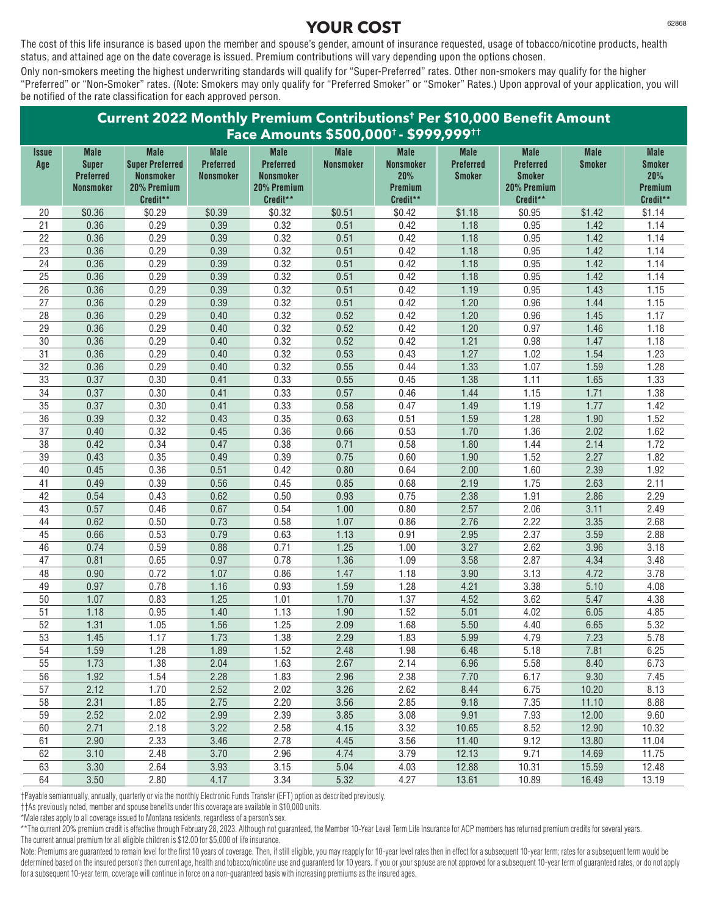The cost of this life insurance is based upon the member and spouse's gender, amount of insurance requested, usage of tobacco/nicotine products, health status, and attained age on the date coverage is issued. Premium contributions will vary depending upon the options chosen.

Only non-smokers meeting the highest underwriting standards will qualify for "Super-Preferred" rates. Other non-smokers may qualify for the higher "Preferred" or "Non-Smoker" rates. (Note: Smokers may only qualify for "Preferred Smoker" or "Smoker" Rates.) Upon approval of your application, you will be notified of the rate classification for each approved person.

| Current 2022 Monthly Premium Contributions <sup>t</sup> Per \$10,000 Benefit Amount |                                                                     |                                                                                      |                                              |                                                                                |                          |                                                               |                                                  |                                                                             |                              |                                                            |
|-------------------------------------------------------------------------------------|---------------------------------------------------------------------|--------------------------------------------------------------------------------------|----------------------------------------------|--------------------------------------------------------------------------------|--------------------------|---------------------------------------------------------------|--------------------------------------------------|-----------------------------------------------------------------------------|------------------------------|------------------------------------------------------------|
|                                                                                     |                                                                     |                                                                                      |                                              | Face Amounts \$500,000 <sup>+</sup> - \$999,999 <sup>++</sup>                  |                          |                                                               |                                                  |                                                                             |                              |                                                            |
| <i><b>Issue</b></i><br>Age                                                          | <b>Male</b><br><b>Super</b><br><b>Preferred</b><br><b>Nonsmoker</b> | <b>Male</b><br><b>Super Preferred</b><br><b>Nonsmoker</b><br>20% Premium<br>Credit** | <b>Male</b><br>Preferred<br><b>Nonsmoker</b> | <b>Male</b><br><b>Preferred</b><br><b>Nonsmoker</b><br>20% Premium<br>Credit** | <b>Male</b><br>Nonsmoker | <b>Male</b><br><b>Nonsmoker</b><br>20%<br>Premium<br>Credit** | <b>Male</b><br><b>Preferred</b><br><b>Smoker</b> | <b>Male</b><br><b>Preferred</b><br><b>Smoker</b><br>20% Premium<br>Credit** | <b>Male</b><br><b>Smoker</b> | <b>Male</b><br><b>Smoker</b><br>20%<br>Premium<br>Credit** |
| 20                                                                                  | \$0.36                                                              | \$0.29                                                                               | \$0.39                                       | \$0.32                                                                         | \$0.51                   | \$0.42                                                        | \$1.18                                           | \$0.95                                                                      | \$1.42                       | \$1.14                                                     |
| 21                                                                                  | 0.36                                                                | 0.29                                                                                 | 0.39                                         | 0.32                                                                           | 0.51                     | 0.42                                                          | 1.18                                             | 0.95                                                                        | 1.42                         | 1.14                                                       |
| 22                                                                                  | 0.36                                                                | 0.29                                                                                 | 0.39                                         | 0.32                                                                           | 0.51                     | 0.42                                                          | 1.18                                             | 0.95                                                                        | 1.42                         | 1.14                                                       |
| 23                                                                                  | 0.36                                                                | 0.29                                                                                 | 0.39                                         | 0.32                                                                           | 0.51                     | 0.42                                                          | 1.18                                             | 0.95                                                                        | 1.42                         | 1.14                                                       |
| 24                                                                                  | 0.36                                                                | 0.29                                                                                 | 0.39                                         | 0.32                                                                           | 0.51                     | 0.42                                                          | 1.18                                             | 0.95                                                                        | 1.42                         | 1.14                                                       |
| 25                                                                                  | 0.36                                                                | 0.29                                                                                 | 0.39                                         | 0.32                                                                           | 0.51                     | 0.42                                                          | 1.18                                             | 0.95                                                                        | 1.42                         | 1.14                                                       |
| $\overline{26}$                                                                     | 0.36                                                                | 0.29                                                                                 | 0.39                                         | 0.32                                                                           | 0.51                     | 0.42                                                          | 1.19                                             | 0.95                                                                        | 1.43                         | 1.15                                                       |
| 27                                                                                  | 0.36                                                                | 0.29                                                                                 | 0.39                                         | 0.32                                                                           | 0.51                     | 0.42                                                          | 1.20                                             | 0.96                                                                        | 1.44                         | 1.15                                                       |
| 28                                                                                  | 0.36                                                                | 0.29                                                                                 | 0.40                                         | 0.32                                                                           | 0.52                     | 0.42                                                          | 1.20                                             | 0.96                                                                        | 1.45                         | 1.17                                                       |
| 29                                                                                  | 0.36                                                                | 0.29                                                                                 | 0.40                                         | 0.32                                                                           | 0.52                     | 0.42                                                          | 1.20                                             | 0.97                                                                        | 1.46                         | 1.18                                                       |
| 30                                                                                  | 0.36                                                                | 0.29                                                                                 | 0.40                                         | 0.32                                                                           | 0.52                     | 0.42                                                          | 1.21                                             | 0.98                                                                        | 1.47                         | 1.18                                                       |
| 31                                                                                  | 0.36                                                                | 0.29                                                                                 | 0.40                                         | 0.32                                                                           | 0.53                     | 0.43                                                          | 1.27                                             | 1.02                                                                        | 1.54                         | 1.23                                                       |
| 32                                                                                  | 0.36                                                                | 0.29                                                                                 | 0.40                                         | 0.32                                                                           | 0.55                     | 0.44                                                          | 1.33                                             | 1.07                                                                        | 1.59                         | 1.28                                                       |
| 33                                                                                  | 0.37                                                                | 0.30                                                                                 | 0.41                                         | 0.33                                                                           | 0.55                     | 0.45                                                          | 1.38                                             | 1.11                                                                        | 1.65                         | 1.33                                                       |
| $\overline{34}$                                                                     | 0.37                                                                | 0.30                                                                                 | 0.41                                         | 0.33                                                                           | 0.57                     | 0.46                                                          | 1.44                                             | 1.15                                                                        | 1.71                         | 1.38                                                       |
| 35                                                                                  | 0.37                                                                | 0.30                                                                                 | 0.41                                         | 0.33                                                                           | 0.58                     | 0.47                                                          | 1.49                                             | 1.19                                                                        | 1.77                         | 1.42                                                       |
| 36                                                                                  | 0.39                                                                | 0.32                                                                                 | 0.43                                         | 0.35                                                                           | 0.63                     | 0.51                                                          | 1.59                                             | 1.28                                                                        | 1.90                         | 1.52                                                       |
| 37                                                                                  | 0.40                                                                | 0.32                                                                                 | 0.45                                         | 0.36                                                                           | 0.66                     | 0.53                                                          | 1.70                                             | 1.36                                                                        | 2.02                         | 1.62                                                       |
| 38                                                                                  | 0.42                                                                | 0.34                                                                                 | 0.47                                         | 0.38                                                                           | 0.71                     | 0.58                                                          | 1.80                                             | 1.44                                                                        | 2.14                         | 1.72                                                       |
| 39                                                                                  | 0.43                                                                | 0.35                                                                                 | 0.49                                         | 0.39                                                                           | 0.75                     | 0.60                                                          | 1.90                                             | 1.52                                                                        | 2.27                         | 1.82                                                       |
| 40                                                                                  | 0.45                                                                | 0.36                                                                                 | 0.51                                         | 0.42                                                                           | 0.80                     | 0.64                                                          | 2.00                                             | 1.60                                                                        | 2.39                         | 1.92                                                       |
| 41                                                                                  | 0.49                                                                | 0.39                                                                                 | 0.56                                         | 0.45                                                                           | 0.85                     | 0.68                                                          | 2.19                                             | 1.75                                                                        | 2.63                         | 2.11                                                       |
| 42                                                                                  | 0.54                                                                | 0.43                                                                                 | 0.62                                         | 0.50                                                                           | 0.93                     | 0.75                                                          | 2.38                                             | 1.91                                                                        | 2.86                         | 2.29                                                       |
| 43                                                                                  | 0.57                                                                | 0.46                                                                                 | 0.67                                         | 0.54                                                                           | 1.00                     | 0.80                                                          | 2.57                                             | 2.06                                                                        | 3.11                         | 2.49                                                       |
| 44                                                                                  | 0.62                                                                | 0.50                                                                                 | 0.73                                         | 0.58                                                                           | 1.07                     | 0.86                                                          | 2.76                                             | 2.22                                                                        | 3.35                         | 2.68                                                       |
| 45                                                                                  | 0.66                                                                | 0.53                                                                                 | 0.79                                         | 0.63                                                                           | 1.13                     | 0.91                                                          | 2.95                                             | 2.37                                                                        | 3.59                         | 2.88                                                       |
| 46                                                                                  | 0.74                                                                | 0.59                                                                                 | 0.88                                         | 0.71                                                                           | 1.25                     | 1.00                                                          | 3.27                                             | 2.62                                                                        | 3.96                         | 3.18                                                       |
| 47                                                                                  | 0.81                                                                | 0.65                                                                                 | 0.97                                         | 0.78                                                                           | 1.36                     | 1.09                                                          | 3.58                                             | 2.87                                                                        | 4.34                         | 3.48                                                       |
| 48                                                                                  | 0.90                                                                | 0.72                                                                                 | 1.07                                         | 0.86                                                                           | 1.47                     | 1.18                                                          | 3.90                                             | 3.13                                                                        | 4.72                         | 3.78                                                       |
| 49                                                                                  | 0.97                                                                | 0.78                                                                                 | 1.16                                         | 0.93                                                                           | 1.59                     | 1.28                                                          | 4.21                                             | 3.38                                                                        | 5.10                         | 4.08                                                       |
| 50                                                                                  | 1.07                                                                | 0.83                                                                                 | 1.25                                         | 1.01                                                                           | 1.70                     | 1.37                                                          | 4.52                                             | 3.62                                                                        | 5.47                         | 4.38                                                       |
| $\overline{51}$                                                                     | 1.18                                                                | 0.95                                                                                 | 1.40                                         | 1.13                                                                           | 1.90                     | 1.52                                                          | 5.01                                             | 4.02                                                                        | 6.05                         | 4.85                                                       |
| 52                                                                                  | 1.31                                                                | 1.05                                                                                 | 1.56                                         | 1.25                                                                           | 2.09                     | 1.68                                                          | 5.50                                             | 4.40                                                                        | 6.65                         | 5.32                                                       |
| 53                                                                                  | 1.45                                                                | 1.17                                                                                 | 1.73                                         | 1.38                                                                           | 2.29                     | 1.83                                                          | 5.99                                             | 4.79                                                                        | 7.23                         | 5.78                                                       |
| 54                                                                                  | 1.59                                                                | 1.28                                                                                 | 1.89                                         | 1.52                                                                           | 2.48                     | 1.98                                                          | 6.48                                             | 5.18                                                                        | 7.81                         | 6.25                                                       |
| 55                                                                                  | 1.73                                                                | 1.38                                                                                 | 2.04                                         | 1.63                                                                           | 2.67                     | 2.14                                                          | 6.96                                             | 5.58                                                                        | 8.40                         | 6.73                                                       |
| 56                                                                                  | 1.92                                                                | 1.54                                                                                 | 2.28                                         | 1.83                                                                           | 2.96                     | 2.38                                                          | 7.70                                             | 6.17                                                                        | 9.30                         | 7.45                                                       |
| 57                                                                                  | 2.12                                                                | 1.70                                                                                 | 2.52                                         | 2.02                                                                           | 3.26                     | 2.62                                                          | 8.44                                             | 6.75                                                                        | 10.20                        | 8.13                                                       |
| 58                                                                                  | 2.31                                                                | 1.85                                                                                 | 2.75                                         | 2.20                                                                           | 3.56                     | 2.85                                                          | 9.18                                             | 7.35                                                                        | 11.10                        | 8.88                                                       |
| 59                                                                                  | 2.52                                                                | 2.02                                                                                 | 2.99                                         | 2.39                                                                           | 3.85                     | 3.08                                                          | 9.91                                             | 7.93                                                                        | 12.00                        | 9.60                                                       |
| 60                                                                                  | 2.71                                                                | 2.18                                                                                 | 3.22                                         | 2.58                                                                           | 4.15                     | 3.32                                                          | 10.65                                            | 8.52                                                                        | 12.90                        | 10.32                                                      |
| 61                                                                                  | 2.90                                                                | 2.33                                                                                 | 3.46                                         | 2.78                                                                           | 4.45                     | 3.56                                                          | 11.40                                            | 9.12                                                                        | 13.80                        | 11.04                                                      |
| 62                                                                                  | 3.10                                                                | 2.48                                                                                 | 3.70                                         | 2.96                                                                           | 4.74                     | 3.79                                                          | 12.13                                            | 9.71                                                                        | 14.69                        | 11.75                                                      |
| 63                                                                                  | 3.30                                                                | 2.64                                                                                 | 3.93                                         | 3.15                                                                           | 5.04                     | 4.03                                                          | 12.88                                            | 10.31                                                                       | 15.59                        | 12.48                                                      |
| 64                                                                                  | 3.50                                                                | 2.80                                                                                 | 4.17                                         | 3.34                                                                           | 5.32                     | 4.27                                                          | 13.61                                            | 10.89                                                                       | 16.49                        | 13.19                                                      |

†Payable semiannually, annually, quarterly or via the monthly Electronic Funds Transfer (EFT) option as described previously.

††As previously noted, member and spouse benefits under this coverage are available in \$10,000 units.

\*Male rates apply to all coverage issued to Montana residents, regardless of a person's sex.

\*\*The current 20% premium credit is effective through February 28, 2023. Although not guaranteed, the Member 10-Year Level Term Life Insurance for ACP members has returned premium credits for several years. The current annual premium for all eligible children is \$12.00 for \$5,000 of life insurance.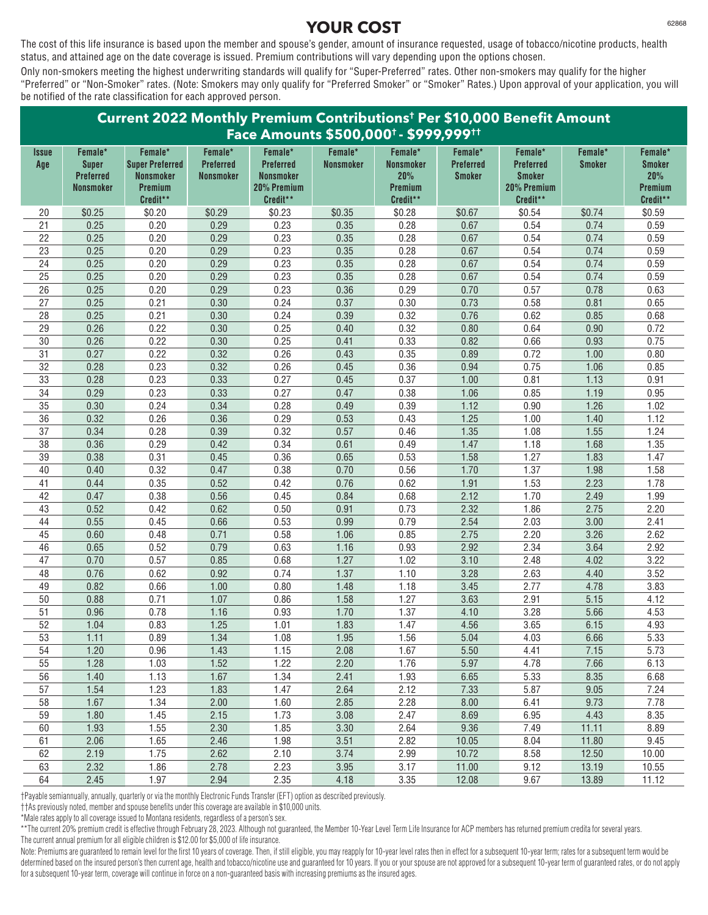The cost of this life insurance is based upon the member and spouse's gender, amount of insurance requested, usage of tobacco/nicotine products, health status, and attained age on the date coverage is issued. Premium contributions will vary depending upon the options chosen.

Only non-smokers meeting the highest underwriting standards will qualify for "Super-Preferred" rates. Other non-smokers may qualify for the higher "Preferred" or "Non-Smoker" rates. (Note: Smokers may only qualify for "Preferred Smoker" or "Smoker" Rates.) Upon approval of your application, you will be notified of the rate classification for each approved person.

| Current 2022 Monthly Premium Contributions <sup>t</sup> Per \$10,000 Benefit Amount<br>Face Amounts \$500,000 <sup>+</sup> - \$999,999 <sup>++</sup> |                                                                 |                                                                              |                                          |                                                                            |                             |                                                           |                                              |                                                                         |                          |                                                        |
|------------------------------------------------------------------------------------------------------------------------------------------------------|-----------------------------------------------------------------|------------------------------------------------------------------------------|------------------------------------------|----------------------------------------------------------------------------|-----------------------------|-----------------------------------------------------------|----------------------------------------------|-------------------------------------------------------------------------|--------------------------|--------------------------------------------------------|
| Issue<br>Age                                                                                                                                         | Female*<br><b>Super</b><br><b>Preferred</b><br><b>Nonsmoker</b> | Female*<br><b>Super Preferred</b><br><b>Nonsmoker</b><br>Premium<br>Credit** | Female*<br>Preferred<br><b>Nonsmoker</b> | Female*<br><b>Preferred</b><br><b>Nonsmoker</b><br>20% Premium<br>Credit** | Female*<br><b>Nonsmoker</b> | Female*<br><b>Nonsmoker</b><br>20%<br>Premium<br>Credit** | Female*<br><b>Preferred</b><br><b>Smoker</b> | Female*<br><b>Preferred</b><br><b>Smoker</b><br>20% Premium<br>Credit** | Female*<br><b>Smoker</b> | Female*<br><b>Smoker</b><br>20%<br>Premium<br>Credit** |
| 20                                                                                                                                                   | \$0.25                                                          | \$0.20                                                                       | \$0.29                                   | \$0.23                                                                     | \$0.35                      | \$0.28                                                    | \$0.67                                       | \$0.54                                                                  | \$0.74                   | \$0.59                                                 |
| 21                                                                                                                                                   | 0.25                                                            | 0.20                                                                         | 0.29                                     | 0.23                                                                       | 0.35                        | 0.28                                                      | 0.67                                         | 0.54                                                                    | 0.74                     | 0.59                                                   |
| 22                                                                                                                                                   | 0.25                                                            | 0.20                                                                         | 0.29                                     | 0.23                                                                       | 0.35                        | 0.28                                                      | 0.67                                         | 0.54                                                                    | 0.74                     | 0.59                                                   |
| 23                                                                                                                                                   | 0.25                                                            | 0.20                                                                         | 0.29                                     | 0.23                                                                       | 0.35                        | 0.28                                                      | 0.67                                         | 0.54                                                                    | 0.74                     | 0.59                                                   |
| 24                                                                                                                                                   | 0.25                                                            | 0.20                                                                         | 0.29                                     | 0.23                                                                       | 0.35                        | 0.28                                                      | 0.67                                         | 0.54                                                                    | 0.74                     | 0.59                                                   |
| 25                                                                                                                                                   | 0.25                                                            | 0.20                                                                         | 0.29                                     | 0.23                                                                       | 0.35                        | 0.28                                                      | 0.67                                         | 0.54                                                                    | 0.74                     | 0.59                                                   |
| $\overline{26}$                                                                                                                                      | 0.25                                                            | 0.20                                                                         | 0.29                                     | 0.23                                                                       | 0.36                        | 0.29                                                      | 0.70                                         | 0.57                                                                    | 0.78                     | 0.63                                                   |
| 27                                                                                                                                                   | 0.25                                                            | 0.21                                                                         | 0.30                                     | 0.24                                                                       | 0.37                        | 0.30                                                      | 0.73                                         | 0.58                                                                    | 0.81                     | 0.65                                                   |
| 28                                                                                                                                                   | 0.25                                                            | 0.21                                                                         | 0.30                                     | 0.24                                                                       | 0.39                        | 0.32                                                      | 0.76                                         | 0.62                                                                    | 0.85                     | 0.68                                                   |
| 29                                                                                                                                                   | 0.26                                                            | 0.22                                                                         | 0.30                                     | 0.25                                                                       | 0.40                        | 0.32                                                      | 0.80                                         | 0.64                                                                    | 0.90                     | 0.72                                                   |
| $30\,$                                                                                                                                               | 0.26                                                            | 0.22                                                                         | 0.30                                     | 0.25                                                                       | 0.41                        | 0.33                                                      | 0.82                                         | 0.66                                                                    | 0.93                     | 0.75                                                   |
| 31                                                                                                                                                   | 0.27                                                            | 0.22                                                                         | 0.32                                     | 0.26                                                                       | 0.43                        | 0.35                                                      | 0.89                                         | 0.72                                                                    | 1.00                     | 0.80                                                   |
| 32                                                                                                                                                   | 0.28                                                            | 0.23                                                                         | 0.32                                     | 0.26                                                                       | 0.45                        | 0.36                                                      | 0.94                                         | 0.75                                                                    | 1.06                     | 0.85                                                   |
| 33                                                                                                                                                   | 0.28                                                            | 0.23                                                                         | 0.33                                     | 0.27                                                                       | 0.45                        | 0.37                                                      | 1.00                                         | 0.81                                                                    | 1.13                     | 0.91                                                   |
| $\overline{34}$                                                                                                                                      | 0.29                                                            | 0.23                                                                         | 0.33                                     | 0.27                                                                       | 0.47                        | 0.38                                                      | 1.06                                         | 0.85                                                                    | 1.19                     | 0.95                                                   |
| 35                                                                                                                                                   | 0.30                                                            | 0.24                                                                         | 0.34                                     | 0.28                                                                       | 0.49                        | 0.39                                                      | 1.12                                         | 0.90                                                                    | 1.26                     | 1.02                                                   |
| 36                                                                                                                                                   | 0.32                                                            | 0.26                                                                         | 0.36                                     | 0.29                                                                       | 0.53                        | 0.43                                                      | 1.25                                         | 1.00                                                                    | 1.40                     | 1.12                                                   |
| 37                                                                                                                                                   | 0.34                                                            | 0.28                                                                         | 0.39                                     | 0.32                                                                       | 0.57                        | 0.46                                                      | 1.35                                         | 1.08                                                                    | 1.55                     | 1.24                                                   |
| $\overline{38}$                                                                                                                                      | 0.36                                                            | 0.29                                                                         | 0.42                                     | 0.34                                                                       | 0.61                        | 0.49                                                      | 1.47                                         | 1.18                                                                    | 1.68                     | 1.35                                                   |
| 39                                                                                                                                                   | 0.38                                                            | 0.31                                                                         | 0.45                                     | 0.36                                                                       | 0.65                        | 0.53                                                      | 1.58                                         | 1.27                                                                    | 1.83                     | 1.47                                                   |
| 40                                                                                                                                                   | 0.40                                                            | 0.32                                                                         | 0.47                                     | 0.38                                                                       | 0.70                        | 0.56                                                      | 1.70                                         | 1.37                                                                    | 1.98                     | 1.58                                                   |
| 41                                                                                                                                                   | 0.44                                                            | 0.35                                                                         | 0.52                                     | 0.42                                                                       | 0.76                        | 0.62                                                      | 1.91                                         | 1.53                                                                    | 2.23                     | 1.78                                                   |
| 42                                                                                                                                                   | 0.47                                                            | 0.38                                                                         | 0.56                                     | 0.45                                                                       | 0.84                        | 0.68                                                      | 2.12                                         | 1.70                                                                    | 2.49                     | 1.99                                                   |
| 43                                                                                                                                                   | 0.52                                                            | 0.42                                                                         | 0.62                                     | 0.50                                                                       | 0.91                        | 0.73                                                      | 2.32                                         | 1.86                                                                    | 2.75                     | 2.20                                                   |
| 44                                                                                                                                                   | 0.55                                                            | 0.45                                                                         | 0.66                                     | 0.53                                                                       | 0.99                        | 0.79                                                      | 2.54                                         | 2.03                                                                    | 3.00                     | 2.41                                                   |
| 45                                                                                                                                                   | 0.60                                                            | 0.48                                                                         | 0.71                                     | 0.58                                                                       | 1.06                        | 0.85                                                      | 2.75                                         | 2.20                                                                    | 3.26                     | 2.62                                                   |
| 46                                                                                                                                                   | 0.65                                                            | 0.52                                                                         | 0.79                                     | 0.63                                                                       | 1.16                        | 0.93                                                      | 2.92                                         | 2.34                                                                    | 3.64                     | 2.92                                                   |
| 47                                                                                                                                                   | 0.70                                                            | 0.57                                                                         | 0.85                                     | 0.68                                                                       | 1.27                        | 1.02                                                      | 3.10                                         | 2.48                                                                    | 4.02                     | 3.22                                                   |
| 48                                                                                                                                                   | 0.76                                                            | 0.62                                                                         | 0.92                                     | 0.74                                                                       | 1.37                        | 1.10                                                      | 3.28                                         | 2.63                                                                    | 4.40                     | 3.52                                                   |
| 49                                                                                                                                                   | 0.82                                                            | 0.66                                                                         | 1.00                                     | 0.80                                                                       | 1.48                        | 1.18                                                      | 3.45                                         | 2.77                                                                    | 4.78                     | 3.83                                                   |
| 50                                                                                                                                                   | 0.88                                                            | 0.71                                                                         | 1.07                                     | 0.86                                                                       | 1.58                        | 1.27                                                      | 3.63                                         | 2.91                                                                    | 5.15                     | 4.12                                                   |
| $\overline{51}$                                                                                                                                      | 0.96                                                            | 0.78                                                                         | 1.16                                     | 0.93                                                                       | 1.70                        | 1.37                                                      | 4.10                                         | 3.28                                                                    | 5.66                     | 4.53                                                   |
| 52                                                                                                                                                   | 1.04                                                            | 0.83                                                                         | 1.25                                     | 1.01                                                                       | 1.83                        | 1.47                                                      | 4.56                                         | 3.65                                                                    | 6.15                     | 4.93                                                   |
| 53                                                                                                                                                   | 1.11                                                            | 0.89                                                                         | 1.34                                     | 1.08                                                                       | 1.95                        | 1.56                                                      | 5.04                                         | 4.03                                                                    | 6.66                     | 5.33                                                   |
| 54                                                                                                                                                   | 1.20                                                            | 0.96                                                                         | 1.43                                     | 1.15                                                                       | 2.08                        | 1.67                                                      | 5.50                                         | 4.41                                                                    | 7.15                     | 5.73                                                   |
| 55                                                                                                                                                   | 1.28                                                            | 1.03                                                                         | 1.52                                     | 1.22                                                                       | 2.20                        | 1.76                                                      | 5.97                                         | 4.78                                                                    | 7.66                     | 6.13                                                   |
| 56                                                                                                                                                   | 1.40                                                            | 1.13                                                                         | 1.67                                     | 1.34                                                                       | 2.41                        | 1.93                                                      | 6.65                                         | 5.33                                                                    | 8.35                     | 6.68                                                   |
| 57                                                                                                                                                   | 1.54                                                            | 1.23                                                                         | 1.83                                     | 1.47                                                                       | 2.64                        | 2.12                                                      | 7.33                                         | 5.87                                                                    | 9.05                     | 7.24                                                   |
| 58                                                                                                                                                   | 1.67                                                            | 1.34                                                                         | 2.00                                     | 1.60                                                                       | 2.85                        | 2.28                                                      | 8.00                                         | 6.41                                                                    | 9.73                     | 7.78                                                   |
| 59                                                                                                                                                   | 1.80                                                            | 1.45                                                                         | 2.15                                     | 1.73                                                                       | 3.08                        | 2.47                                                      | 8.69                                         | 6.95                                                                    | 4.43                     | 8.35                                                   |
| 60                                                                                                                                                   | 1.93                                                            | 1.55                                                                         | 2.30                                     | 1.85                                                                       | 3.30                        | 2.64                                                      | 9.36                                         | 7.49                                                                    | 11.11                    | 8.89                                                   |
| 61                                                                                                                                                   | 2.06                                                            | 1.65                                                                         | 2.46                                     | 1.98                                                                       | 3.51                        | 2.82                                                      | 10.05                                        | 8.04                                                                    | 11.80                    | 9.45                                                   |
| 62                                                                                                                                                   | 2.19                                                            | 1.75                                                                         | 2.62                                     | 2.10                                                                       | 3.74                        | 2.99                                                      | 10.72                                        | 8.58                                                                    | 12.50                    | 10.00                                                  |
| 63                                                                                                                                                   | 2.32                                                            | 1.86                                                                         | 2.78                                     | 2.23                                                                       | 3.95                        | 3.17                                                      | 11.00                                        | 9.12                                                                    | 13.19                    | 10.55                                                  |
| 64                                                                                                                                                   | 2.45                                                            | 1.97                                                                         | 2.94                                     | 2.35                                                                       | 4.18                        | 3.35                                                      | 12.08                                        | 9.67                                                                    | 13.89                    | 11.12                                                  |

†Payable semiannually, annually, quarterly or via the monthly Electronic Funds Transfer (EFT) option as described previously.

††As previously noted, member and spouse benefits under this coverage are available in \$10,000 units.

\*Male rates apply to all coverage issued to Montana residents, regardless of a person's sex.

\*\*The current 20% premium credit is effective through February 28, 2023. Although not guaranteed, the Member 10-Year Level Term Life Insurance for ACP members has returned premium credita for several years. The current annual premium for all eligible children is \$12.00 for \$5,000 of life insurance.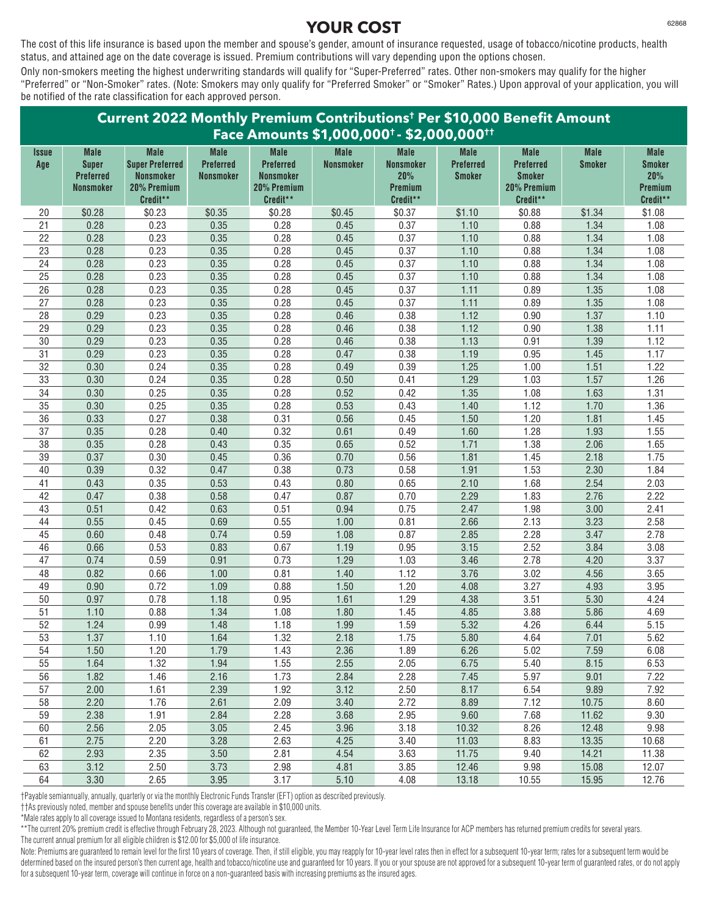The cost of this life insurance is based upon the member and spouse's gender, amount of insurance requested, usage of tobacco/nicotine products, health status, and attained age on the date coverage is issued. Premium contributions will vary depending upon the options chosen.

Only non-smokers meeting the highest underwriting standards will qualify for "Super-Preferred" rates. Other non-smokers may qualify for the higher "Preferred" or "Non-Smoker" rates. (Note: Smokers may only qualify for "Preferred Smoker" or "Smoker" Rates.) Upon approval of your application, you will be notified of the rate classification for each approved person.

| Face Amounts \$1,000,000 <sup>+</sup> - \$2,000,000 <sup>++</sup><br><b>Male</b><br><b>Male</b><br><b>Male</b><br><b>Male</b><br><b>Male</b><br><b>Male</b><br><b>Male</b><br><b>Male</b><br><b>Male</b><br><b>Male</b><br><i><b>Issue</b></i><br><b>Super Preferred</b><br><b>Preferred</b><br><b>Super</b><br><b>Preferred</b><br>Nonsmoker<br>Nonsmoker<br><b>Preferred</b><br><b>Preferred</b><br><b>Smoker</b><br><b>Smoker</b><br>Age<br>20%<br><b>Preferred</b><br><b>Nonsmoker</b><br><b>Nonsmoker</b><br>20%<br>Nonsmoker<br><b>Smoker</b><br><b>Smoker</b><br><b>Nonsmoker</b><br>20% Premium<br>20% Premium<br>Premium<br>20% Premium<br>Premium<br>Credit**<br>Credit**<br>Credit**<br>Credit**<br>Credit**<br>\$0.28<br>\$0.23<br>\$0.35<br>\$0.28<br>\$0.45<br>\$0.37<br>\$1.10<br>\$0.88<br>\$1.34<br>\$1.08<br>20<br>21<br>0.28<br>0.23<br>0.35<br>0.28<br>0.37<br>0.88<br>1.08<br>0.45<br>1.10<br>1.34<br>22<br>0.28<br>0.23<br>0.35<br>0.28<br>0.37<br>0.88<br>1.08<br>0.45<br>1.10<br>1.34<br>23<br>1.08<br>0.28<br>0.23<br>0.35<br>0.28<br>0.37<br>0.88<br>0.45<br>1.10<br>1.34<br>$\overline{24}$<br>1.08<br>0.28<br>0.23<br>0.35<br>1.34<br>0.28<br>0.45<br>0.37<br>0.88<br>1.10<br>1.08<br>25<br>0.23<br>0.28<br>0.37<br>0.28<br>0.35<br>0.88<br>1.34<br>0.45<br>1.10<br>1.08<br>26<br>0.28<br>0.23<br>0.35<br>0.28<br>0.45<br>0.37<br>1.11<br>0.89<br>1.35<br>1.08<br>27<br>0.28<br>0.23<br>0.35<br>0.28<br>0.37<br>0.45<br>1.11<br>0.89<br>1.35<br>28<br>0.29<br>0.23<br>0.35<br>0.28<br>0.38<br>1.12<br>0.90<br>1.37<br>1.10<br>0.46<br>29<br>1.11<br>0.29<br>0.23<br>0.35<br>0.28<br>0.38<br>1.12<br>1.38<br>0.46<br>0.90<br>$\overline{30}$<br>0.29<br>0.23<br>0.28<br>1.12<br>0.35<br>0.38<br>1.13<br>0.91<br>1.39<br>0.46<br>$\overline{31}$<br>0.29<br>0.23<br>0.35<br>1.17<br>0.28<br>0.38<br>1.19<br>0.95<br>1.45<br>0.47<br>1.22<br>1.25<br>32<br>0.30<br>0.24<br>0.35<br>0.28<br>0.39<br>1.00<br>1.51<br>0.49<br>1.26<br>0.28<br>1.29<br>1.03<br>33<br>0.30<br>0.24<br>0.35<br>0.50<br>0.41<br>1.57<br>$\overline{34}$<br>1.31<br>0.25<br>0.28<br>0.42<br>1.08<br>0.30<br>0.35<br>0.52<br>1.35<br>1.63<br>35<br>0.30<br>0.25<br>0.35<br>0.28<br>0.53<br>0.43<br>1.12<br>1.36<br>1.40<br>1.70<br>36<br>0.27<br>1.45<br>0.33<br>0.38<br>0.31<br>0.56<br>0.45<br>1.50<br>1.20<br>1.81<br>37<br>1.28<br>1.55<br>0.35<br>0.28<br>0.32<br>0.49<br>0.40<br>0.61<br>1.60<br>1.93<br>1.65<br>$\overline{38}$<br>0.35<br>0.28<br>0.35<br>0.52<br>1.38<br>0.43<br>0.65<br>1.71<br>2.06<br>1.75<br>39<br>0.37<br>0.30<br>0.36<br>0.56<br>1.81<br>1.45<br>0.45<br>0.70<br>2.18<br>1.84<br>0.32<br>0.38<br>0.58<br>1.53<br>40<br>0.39<br>0.47<br>0.73<br>1.91<br>2.30<br>2.03<br>41<br>0.35<br>0.53<br>0.43<br>0.65<br>1.68<br>0.43<br>0.80<br>2.10<br>2.54<br>2.22<br>42<br>0.47<br>0.38<br>0.58<br>0.47<br>0.87<br>0.70<br>2.29<br>1.83<br>2.76<br>0.51<br>0.42<br>0.63<br>0.51<br>0.75<br>1.98<br>2.41<br>43<br>0.94<br>2.47<br>3.00<br>2.58<br>44<br>0.55<br>0.45<br>0.69<br>0.55<br>1.00<br>0.81<br>2.13<br>3.23<br>2.66<br>45<br>2.78<br>0.60<br>0.48<br>0.74<br>0.59<br>1.08<br>0.87<br>2.85<br>2.28<br>3.47<br>0.53<br>0.67<br>2.52<br>3.08<br>46<br>0.66<br>0.83<br>1.19<br>0.95<br>3.15<br>3.84<br>3.37<br>0.59<br>0.73<br>1.03<br>2.78<br>47<br>0.74<br>0.91<br>1.29<br>3.46<br>4.20<br>48<br>0.82<br>0.66<br>1.00<br>0.81<br>1.12<br>3.76<br>3.02<br>3.65<br>1.40<br>4.56<br>49<br>0.90<br>0.72<br>1.09<br>0.88<br>1.50<br>1.20<br>4.08<br>3.27<br>3.95<br>4.93<br>50<br>0.97<br>0.78<br>1.18<br>0.95<br>1.29<br>3.51<br>4.24<br>1.61<br>4.38<br>5.30<br>$\overline{51}$<br>1.34<br>4.69<br>1.10<br>0.88<br>1.08<br>1.80<br>1.45<br>4.85<br>3.88<br>5.86<br>52<br>1.24<br>0.99<br>1.48<br>1.18<br>1.59<br>5.32<br>4.26<br>5.15<br>1.99<br>6.44<br>1.37<br>1.10<br>1.64<br>1.32<br>1.75<br>4.64<br>5.62<br>53<br>2.18<br>5.80<br>7.01<br>1.20<br>54<br>1.50<br>1.79<br>1.43<br>1.89<br>6.26<br>5.02<br>7.59<br>6.08<br>2.36<br>55<br>1.32<br>1.55<br>2.05<br>1.64<br>1.94<br>2.55<br>6.75<br>5.40<br>8.15<br>6.53<br>56<br>1.82<br>1.46<br>2.16<br>1.73<br>2.84<br>2.28<br>5.97<br>7.22<br>7.45<br>9.01<br>57<br>2.00<br>1.61<br>2.39<br>1.92<br>2.50<br>6.54<br>7.92<br>3.12<br>8.17<br>9.89<br>2.20<br>58<br>1.76<br>2.61<br>2.09<br>2.72<br>7.12<br>10.75<br>8.60<br>3.40<br>8.89<br>59<br>2.38<br>1.91<br>2.28<br>2.95<br>7.68<br>11.62<br>9.30<br>2.84<br>3.68<br>9.60<br>60<br>9.98<br>2.56<br>2.05<br>3.05<br>2.45<br>3.96<br>3.18<br>10.32<br>8.26<br>12.48<br>2.75<br>2.20<br>2.63<br>3.40<br>10.68<br>61<br>3.28<br>4.25<br>11.03<br>8.83<br>13.35<br>2.35<br>3.63<br>62<br>2.93<br>3.50<br>2.81<br>4.54<br>11.75<br>9.40<br>14.21<br>11.38<br>63<br>3.12<br>2.50<br>3.73<br>2.98<br>3.85<br>12.46<br>9.98<br>15.08<br>12.07<br>4.81 | Current 2022 Monthly Premium Contributions <sup>t</sup> Per \$10,000 Benefit Amount |      |      |      |      |      |      |       |       |       |       |
|--------------------------------------------------------------------------------------------------------------------------------------------------------------------------------------------------------------------------------------------------------------------------------------------------------------------------------------------------------------------------------------------------------------------------------------------------------------------------------------------------------------------------------------------------------------------------------------------------------------------------------------------------------------------------------------------------------------------------------------------------------------------------------------------------------------------------------------------------------------------------------------------------------------------------------------------------------------------------------------------------------------------------------------------------------------------------------------------------------------------------------------------------------------------------------------------------------------------------------------------------------------------------------------------------------------------------------------------------------------------------------------------------------------------------------------------------------------------------------------------------------------------------------------------------------------------------------------------------------------------------------------------------------------------------------------------------------------------------------------------------------------------------------------------------------------------------------------------------------------------------------------------------------------------------------------------------------------------------------------------------------------------------------------------------------------------------------------------------------------------------------------------------------------------------------------------------------------------------------------------------------------------------------------------------------------------------------------------------------------------------------------------------------------------------------------------------------------------------------------------------------------------------------------------------------------------------------------------------------------------------------------------------------------------------------------------------------------------------------------------------------------------------------------------------------------------------------------------------------------------------------------------------------------------------------------------------------------------------------------------------------------------------------------------------------------------------------------------------------------------------------------------------------------------------------------------------------------------------------------------------------------------------------------------------------------------------------------------------------------------------------------------------------------------------------------------------------------------------------------------------------------------------------------------------------------------------------------------------------------------------------------------------------------------------------------------------------------------------------------------------------------------------------------------------------------------------------------------------------------------------------------------------------------------------------------------------------------------------------------------------------------------------------------------------------------------------------------------------------------------------------------------------------------------------------------------------------------------------------------------------------------------------------------------------------------------------------------------------------------------------------------------------------------------------------------------------------------------------------------------------------------------------------------------------------------------------------------------------------------------------------------------------------------------------------------------------------------------------------------------------------------------------------|-------------------------------------------------------------------------------------|------|------|------|------|------|------|-------|-------|-------|-------|
|                                                                                                                                                                                                                                                                                                                                                                                                                                                                                                                                                                                                                                                                                                                                                                                                                                                                                                                                                                                                                                                                                                                                                                                                                                                                                                                                                                                                                                                                                                                                                                                                                                                                                                                                                                                                                                                                                                                                                                                                                                                                                                                                                                                                                                                                                                                                                                                                                                                                                                                                                                                                                                                                                                                                                                                                                                                                                                                                                                                                                                                                                                                                                                                                                                                                                                                                                                                                                                                                                                                                                                                                                                                                                                                                                                                                                                                                                                                                                                                                                                                                                                                                                                                                                                                                                                                                                                                                                                                                                                                                                                                                                                                                                                                                                                                |                                                                                     |      |      |      |      |      |      |       |       |       |       |
|                                                                                                                                                                                                                                                                                                                                                                                                                                                                                                                                                                                                                                                                                                                                                                                                                                                                                                                                                                                                                                                                                                                                                                                                                                                                                                                                                                                                                                                                                                                                                                                                                                                                                                                                                                                                                                                                                                                                                                                                                                                                                                                                                                                                                                                                                                                                                                                                                                                                                                                                                                                                                                                                                                                                                                                                                                                                                                                                                                                                                                                                                                                                                                                                                                                                                                                                                                                                                                                                                                                                                                                                                                                                                                                                                                                                                                                                                                                                                                                                                                                                                                                                                                                                                                                                                                                                                                                                                                                                                                                                                                                                                                                                                                                                                                                |                                                                                     |      |      |      |      |      |      |       |       |       |       |
|                                                                                                                                                                                                                                                                                                                                                                                                                                                                                                                                                                                                                                                                                                                                                                                                                                                                                                                                                                                                                                                                                                                                                                                                                                                                                                                                                                                                                                                                                                                                                                                                                                                                                                                                                                                                                                                                                                                                                                                                                                                                                                                                                                                                                                                                                                                                                                                                                                                                                                                                                                                                                                                                                                                                                                                                                                                                                                                                                                                                                                                                                                                                                                                                                                                                                                                                                                                                                                                                                                                                                                                                                                                                                                                                                                                                                                                                                                                                                                                                                                                                                                                                                                                                                                                                                                                                                                                                                                                                                                                                                                                                                                                                                                                                                                                |                                                                                     |      |      |      |      |      |      |       |       |       |       |
|                                                                                                                                                                                                                                                                                                                                                                                                                                                                                                                                                                                                                                                                                                                                                                                                                                                                                                                                                                                                                                                                                                                                                                                                                                                                                                                                                                                                                                                                                                                                                                                                                                                                                                                                                                                                                                                                                                                                                                                                                                                                                                                                                                                                                                                                                                                                                                                                                                                                                                                                                                                                                                                                                                                                                                                                                                                                                                                                                                                                                                                                                                                                                                                                                                                                                                                                                                                                                                                                                                                                                                                                                                                                                                                                                                                                                                                                                                                                                                                                                                                                                                                                                                                                                                                                                                                                                                                                                                                                                                                                                                                                                                                                                                                                                                                |                                                                                     |      |      |      |      |      |      |       |       |       |       |
|                                                                                                                                                                                                                                                                                                                                                                                                                                                                                                                                                                                                                                                                                                                                                                                                                                                                                                                                                                                                                                                                                                                                                                                                                                                                                                                                                                                                                                                                                                                                                                                                                                                                                                                                                                                                                                                                                                                                                                                                                                                                                                                                                                                                                                                                                                                                                                                                                                                                                                                                                                                                                                                                                                                                                                                                                                                                                                                                                                                                                                                                                                                                                                                                                                                                                                                                                                                                                                                                                                                                                                                                                                                                                                                                                                                                                                                                                                                                                                                                                                                                                                                                                                                                                                                                                                                                                                                                                                                                                                                                                                                                                                                                                                                                                                                |                                                                                     |      |      |      |      |      |      |       |       |       |       |
|                                                                                                                                                                                                                                                                                                                                                                                                                                                                                                                                                                                                                                                                                                                                                                                                                                                                                                                                                                                                                                                                                                                                                                                                                                                                                                                                                                                                                                                                                                                                                                                                                                                                                                                                                                                                                                                                                                                                                                                                                                                                                                                                                                                                                                                                                                                                                                                                                                                                                                                                                                                                                                                                                                                                                                                                                                                                                                                                                                                                                                                                                                                                                                                                                                                                                                                                                                                                                                                                                                                                                                                                                                                                                                                                                                                                                                                                                                                                                                                                                                                                                                                                                                                                                                                                                                                                                                                                                                                                                                                                                                                                                                                                                                                                                                                |                                                                                     |      |      |      |      |      |      |       |       |       |       |
|                                                                                                                                                                                                                                                                                                                                                                                                                                                                                                                                                                                                                                                                                                                                                                                                                                                                                                                                                                                                                                                                                                                                                                                                                                                                                                                                                                                                                                                                                                                                                                                                                                                                                                                                                                                                                                                                                                                                                                                                                                                                                                                                                                                                                                                                                                                                                                                                                                                                                                                                                                                                                                                                                                                                                                                                                                                                                                                                                                                                                                                                                                                                                                                                                                                                                                                                                                                                                                                                                                                                                                                                                                                                                                                                                                                                                                                                                                                                                                                                                                                                                                                                                                                                                                                                                                                                                                                                                                                                                                                                                                                                                                                                                                                                                                                |                                                                                     |      |      |      |      |      |      |       |       |       |       |
|                                                                                                                                                                                                                                                                                                                                                                                                                                                                                                                                                                                                                                                                                                                                                                                                                                                                                                                                                                                                                                                                                                                                                                                                                                                                                                                                                                                                                                                                                                                                                                                                                                                                                                                                                                                                                                                                                                                                                                                                                                                                                                                                                                                                                                                                                                                                                                                                                                                                                                                                                                                                                                                                                                                                                                                                                                                                                                                                                                                                                                                                                                                                                                                                                                                                                                                                                                                                                                                                                                                                                                                                                                                                                                                                                                                                                                                                                                                                                                                                                                                                                                                                                                                                                                                                                                                                                                                                                                                                                                                                                                                                                                                                                                                                                                                |                                                                                     |      |      |      |      |      |      |       |       |       |       |
|                                                                                                                                                                                                                                                                                                                                                                                                                                                                                                                                                                                                                                                                                                                                                                                                                                                                                                                                                                                                                                                                                                                                                                                                                                                                                                                                                                                                                                                                                                                                                                                                                                                                                                                                                                                                                                                                                                                                                                                                                                                                                                                                                                                                                                                                                                                                                                                                                                                                                                                                                                                                                                                                                                                                                                                                                                                                                                                                                                                                                                                                                                                                                                                                                                                                                                                                                                                                                                                                                                                                                                                                                                                                                                                                                                                                                                                                                                                                                                                                                                                                                                                                                                                                                                                                                                                                                                                                                                                                                                                                                                                                                                                                                                                                                                                |                                                                                     |      |      |      |      |      |      |       |       |       |       |
|                                                                                                                                                                                                                                                                                                                                                                                                                                                                                                                                                                                                                                                                                                                                                                                                                                                                                                                                                                                                                                                                                                                                                                                                                                                                                                                                                                                                                                                                                                                                                                                                                                                                                                                                                                                                                                                                                                                                                                                                                                                                                                                                                                                                                                                                                                                                                                                                                                                                                                                                                                                                                                                                                                                                                                                                                                                                                                                                                                                                                                                                                                                                                                                                                                                                                                                                                                                                                                                                                                                                                                                                                                                                                                                                                                                                                                                                                                                                                                                                                                                                                                                                                                                                                                                                                                                                                                                                                                                                                                                                                                                                                                                                                                                                                                                |                                                                                     |      |      |      |      |      |      |       |       |       |       |
|                                                                                                                                                                                                                                                                                                                                                                                                                                                                                                                                                                                                                                                                                                                                                                                                                                                                                                                                                                                                                                                                                                                                                                                                                                                                                                                                                                                                                                                                                                                                                                                                                                                                                                                                                                                                                                                                                                                                                                                                                                                                                                                                                                                                                                                                                                                                                                                                                                                                                                                                                                                                                                                                                                                                                                                                                                                                                                                                                                                                                                                                                                                                                                                                                                                                                                                                                                                                                                                                                                                                                                                                                                                                                                                                                                                                                                                                                                                                                                                                                                                                                                                                                                                                                                                                                                                                                                                                                                                                                                                                                                                                                                                                                                                                                                                |                                                                                     |      |      |      |      |      |      |       |       |       |       |
|                                                                                                                                                                                                                                                                                                                                                                                                                                                                                                                                                                                                                                                                                                                                                                                                                                                                                                                                                                                                                                                                                                                                                                                                                                                                                                                                                                                                                                                                                                                                                                                                                                                                                                                                                                                                                                                                                                                                                                                                                                                                                                                                                                                                                                                                                                                                                                                                                                                                                                                                                                                                                                                                                                                                                                                                                                                                                                                                                                                                                                                                                                                                                                                                                                                                                                                                                                                                                                                                                                                                                                                                                                                                                                                                                                                                                                                                                                                                                                                                                                                                                                                                                                                                                                                                                                                                                                                                                                                                                                                                                                                                                                                                                                                                                                                |                                                                                     |      |      |      |      |      |      |       |       |       |       |
|                                                                                                                                                                                                                                                                                                                                                                                                                                                                                                                                                                                                                                                                                                                                                                                                                                                                                                                                                                                                                                                                                                                                                                                                                                                                                                                                                                                                                                                                                                                                                                                                                                                                                                                                                                                                                                                                                                                                                                                                                                                                                                                                                                                                                                                                                                                                                                                                                                                                                                                                                                                                                                                                                                                                                                                                                                                                                                                                                                                                                                                                                                                                                                                                                                                                                                                                                                                                                                                                                                                                                                                                                                                                                                                                                                                                                                                                                                                                                                                                                                                                                                                                                                                                                                                                                                                                                                                                                                                                                                                                                                                                                                                                                                                                                                                |                                                                                     |      |      |      |      |      |      |       |       |       |       |
|                                                                                                                                                                                                                                                                                                                                                                                                                                                                                                                                                                                                                                                                                                                                                                                                                                                                                                                                                                                                                                                                                                                                                                                                                                                                                                                                                                                                                                                                                                                                                                                                                                                                                                                                                                                                                                                                                                                                                                                                                                                                                                                                                                                                                                                                                                                                                                                                                                                                                                                                                                                                                                                                                                                                                                                                                                                                                                                                                                                                                                                                                                                                                                                                                                                                                                                                                                                                                                                                                                                                                                                                                                                                                                                                                                                                                                                                                                                                                                                                                                                                                                                                                                                                                                                                                                                                                                                                                                                                                                                                                                                                                                                                                                                                                                                |                                                                                     |      |      |      |      |      |      |       |       |       |       |
|                                                                                                                                                                                                                                                                                                                                                                                                                                                                                                                                                                                                                                                                                                                                                                                                                                                                                                                                                                                                                                                                                                                                                                                                                                                                                                                                                                                                                                                                                                                                                                                                                                                                                                                                                                                                                                                                                                                                                                                                                                                                                                                                                                                                                                                                                                                                                                                                                                                                                                                                                                                                                                                                                                                                                                                                                                                                                                                                                                                                                                                                                                                                                                                                                                                                                                                                                                                                                                                                                                                                                                                                                                                                                                                                                                                                                                                                                                                                                                                                                                                                                                                                                                                                                                                                                                                                                                                                                                                                                                                                                                                                                                                                                                                                                                                |                                                                                     |      |      |      |      |      |      |       |       |       |       |
|                                                                                                                                                                                                                                                                                                                                                                                                                                                                                                                                                                                                                                                                                                                                                                                                                                                                                                                                                                                                                                                                                                                                                                                                                                                                                                                                                                                                                                                                                                                                                                                                                                                                                                                                                                                                                                                                                                                                                                                                                                                                                                                                                                                                                                                                                                                                                                                                                                                                                                                                                                                                                                                                                                                                                                                                                                                                                                                                                                                                                                                                                                                                                                                                                                                                                                                                                                                                                                                                                                                                                                                                                                                                                                                                                                                                                                                                                                                                                                                                                                                                                                                                                                                                                                                                                                                                                                                                                                                                                                                                                                                                                                                                                                                                                                                |                                                                                     |      |      |      |      |      |      |       |       |       |       |
|                                                                                                                                                                                                                                                                                                                                                                                                                                                                                                                                                                                                                                                                                                                                                                                                                                                                                                                                                                                                                                                                                                                                                                                                                                                                                                                                                                                                                                                                                                                                                                                                                                                                                                                                                                                                                                                                                                                                                                                                                                                                                                                                                                                                                                                                                                                                                                                                                                                                                                                                                                                                                                                                                                                                                                                                                                                                                                                                                                                                                                                                                                                                                                                                                                                                                                                                                                                                                                                                                                                                                                                                                                                                                                                                                                                                                                                                                                                                                                                                                                                                                                                                                                                                                                                                                                                                                                                                                                                                                                                                                                                                                                                                                                                                                                                |                                                                                     |      |      |      |      |      |      |       |       |       |       |
|                                                                                                                                                                                                                                                                                                                                                                                                                                                                                                                                                                                                                                                                                                                                                                                                                                                                                                                                                                                                                                                                                                                                                                                                                                                                                                                                                                                                                                                                                                                                                                                                                                                                                                                                                                                                                                                                                                                                                                                                                                                                                                                                                                                                                                                                                                                                                                                                                                                                                                                                                                                                                                                                                                                                                                                                                                                                                                                                                                                                                                                                                                                                                                                                                                                                                                                                                                                                                                                                                                                                                                                                                                                                                                                                                                                                                                                                                                                                                                                                                                                                                                                                                                                                                                                                                                                                                                                                                                                                                                                                                                                                                                                                                                                                                                                |                                                                                     |      |      |      |      |      |      |       |       |       |       |
|                                                                                                                                                                                                                                                                                                                                                                                                                                                                                                                                                                                                                                                                                                                                                                                                                                                                                                                                                                                                                                                                                                                                                                                                                                                                                                                                                                                                                                                                                                                                                                                                                                                                                                                                                                                                                                                                                                                                                                                                                                                                                                                                                                                                                                                                                                                                                                                                                                                                                                                                                                                                                                                                                                                                                                                                                                                                                                                                                                                                                                                                                                                                                                                                                                                                                                                                                                                                                                                                                                                                                                                                                                                                                                                                                                                                                                                                                                                                                                                                                                                                                                                                                                                                                                                                                                                                                                                                                                                                                                                                                                                                                                                                                                                                                                                |                                                                                     |      |      |      |      |      |      |       |       |       |       |
|                                                                                                                                                                                                                                                                                                                                                                                                                                                                                                                                                                                                                                                                                                                                                                                                                                                                                                                                                                                                                                                                                                                                                                                                                                                                                                                                                                                                                                                                                                                                                                                                                                                                                                                                                                                                                                                                                                                                                                                                                                                                                                                                                                                                                                                                                                                                                                                                                                                                                                                                                                                                                                                                                                                                                                                                                                                                                                                                                                                                                                                                                                                                                                                                                                                                                                                                                                                                                                                                                                                                                                                                                                                                                                                                                                                                                                                                                                                                                                                                                                                                                                                                                                                                                                                                                                                                                                                                                                                                                                                                                                                                                                                                                                                                                                                |                                                                                     |      |      |      |      |      |      |       |       |       |       |
|                                                                                                                                                                                                                                                                                                                                                                                                                                                                                                                                                                                                                                                                                                                                                                                                                                                                                                                                                                                                                                                                                                                                                                                                                                                                                                                                                                                                                                                                                                                                                                                                                                                                                                                                                                                                                                                                                                                                                                                                                                                                                                                                                                                                                                                                                                                                                                                                                                                                                                                                                                                                                                                                                                                                                                                                                                                                                                                                                                                                                                                                                                                                                                                                                                                                                                                                                                                                                                                                                                                                                                                                                                                                                                                                                                                                                                                                                                                                                                                                                                                                                                                                                                                                                                                                                                                                                                                                                                                                                                                                                                                                                                                                                                                                                                                |                                                                                     |      |      |      |      |      |      |       |       |       |       |
|                                                                                                                                                                                                                                                                                                                                                                                                                                                                                                                                                                                                                                                                                                                                                                                                                                                                                                                                                                                                                                                                                                                                                                                                                                                                                                                                                                                                                                                                                                                                                                                                                                                                                                                                                                                                                                                                                                                                                                                                                                                                                                                                                                                                                                                                                                                                                                                                                                                                                                                                                                                                                                                                                                                                                                                                                                                                                                                                                                                                                                                                                                                                                                                                                                                                                                                                                                                                                                                                                                                                                                                                                                                                                                                                                                                                                                                                                                                                                                                                                                                                                                                                                                                                                                                                                                                                                                                                                                                                                                                                                                                                                                                                                                                                                                                |                                                                                     |      |      |      |      |      |      |       |       |       |       |
|                                                                                                                                                                                                                                                                                                                                                                                                                                                                                                                                                                                                                                                                                                                                                                                                                                                                                                                                                                                                                                                                                                                                                                                                                                                                                                                                                                                                                                                                                                                                                                                                                                                                                                                                                                                                                                                                                                                                                                                                                                                                                                                                                                                                                                                                                                                                                                                                                                                                                                                                                                                                                                                                                                                                                                                                                                                                                                                                                                                                                                                                                                                                                                                                                                                                                                                                                                                                                                                                                                                                                                                                                                                                                                                                                                                                                                                                                                                                                                                                                                                                                                                                                                                                                                                                                                                                                                                                                                                                                                                                                                                                                                                                                                                                                                                |                                                                                     |      |      |      |      |      |      |       |       |       |       |
|                                                                                                                                                                                                                                                                                                                                                                                                                                                                                                                                                                                                                                                                                                                                                                                                                                                                                                                                                                                                                                                                                                                                                                                                                                                                                                                                                                                                                                                                                                                                                                                                                                                                                                                                                                                                                                                                                                                                                                                                                                                                                                                                                                                                                                                                                                                                                                                                                                                                                                                                                                                                                                                                                                                                                                                                                                                                                                                                                                                                                                                                                                                                                                                                                                                                                                                                                                                                                                                                                                                                                                                                                                                                                                                                                                                                                                                                                                                                                                                                                                                                                                                                                                                                                                                                                                                                                                                                                                                                                                                                                                                                                                                                                                                                                                                |                                                                                     |      |      |      |      |      |      |       |       |       |       |
|                                                                                                                                                                                                                                                                                                                                                                                                                                                                                                                                                                                                                                                                                                                                                                                                                                                                                                                                                                                                                                                                                                                                                                                                                                                                                                                                                                                                                                                                                                                                                                                                                                                                                                                                                                                                                                                                                                                                                                                                                                                                                                                                                                                                                                                                                                                                                                                                                                                                                                                                                                                                                                                                                                                                                                                                                                                                                                                                                                                                                                                                                                                                                                                                                                                                                                                                                                                                                                                                                                                                                                                                                                                                                                                                                                                                                                                                                                                                                                                                                                                                                                                                                                                                                                                                                                                                                                                                                                                                                                                                                                                                                                                                                                                                                                                |                                                                                     |      |      |      |      |      |      |       |       |       |       |
|                                                                                                                                                                                                                                                                                                                                                                                                                                                                                                                                                                                                                                                                                                                                                                                                                                                                                                                                                                                                                                                                                                                                                                                                                                                                                                                                                                                                                                                                                                                                                                                                                                                                                                                                                                                                                                                                                                                                                                                                                                                                                                                                                                                                                                                                                                                                                                                                                                                                                                                                                                                                                                                                                                                                                                                                                                                                                                                                                                                                                                                                                                                                                                                                                                                                                                                                                                                                                                                                                                                                                                                                                                                                                                                                                                                                                                                                                                                                                                                                                                                                                                                                                                                                                                                                                                                                                                                                                                                                                                                                                                                                                                                                                                                                                                                |                                                                                     |      |      |      |      |      |      |       |       |       |       |
|                                                                                                                                                                                                                                                                                                                                                                                                                                                                                                                                                                                                                                                                                                                                                                                                                                                                                                                                                                                                                                                                                                                                                                                                                                                                                                                                                                                                                                                                                                                                                                                                                                                                                                                                                                                                                                                                                                                                                                                                                                                                                                                                                                                                                                                                                                                                                                                                                                                                                                                                                                                                                                                                                                                                                                                                                                                                                                                                                                                                                                                                                                                                                                                                                                                                                                                                                                                                                                                                                                                                                                                                                                                                                                                                                                                                                                                                                                                                                                                                                                                                                                                                                                                                                                                                                                                                                                                                                                                                                                                                                                                                                                                                                                                                                                                |                                                                                     |      |      |      |      |      |      |       |       |       |       |
|                                                                                                                                                                                                                                                                                                                                                                                                                                                                                                                                                                                                                                                                                                                                                                                                                                                                                                                                                                                                                                                                                                                                                                                                                                                                                                                                                                                                                                                                                                                                                                                                                                                                                                                                                                                                                                                                                                                                                                                                                                                                                                                                                                                                                                                                                                                                                                                                                                                                                                                                                                                                                                                                                                                                                                                                                                                                                                                                                                                                                                                                                                                                                                                                                                                                                                                                                                                                                                                                                                                                                                                                                                                                                                                                                                                                                                                                                                                                                                                                                                                                                                                                                                                                                                                                                                                                                                                                                                                                                                                                                                                                                                                                                                                                                                                |                                                                                     |      |      |      |      |      |      |       |       |       |       |
|                                                                                                                                                                                                                                                                                                                                                                                                                                                                                                                                                                                                                                                                                                                                                                                                                                                                                                                                                                                                                                                                                                                                                                                                                                                                                                                                                                                                                                                                                                                                                                                                                                                                                                                                                                                                                                                                                                                                                                                                                                                                                                                                                                                                                                                                                                                                                                                                                                                                                                                                                                                                                                                                                                                                                                                                                                                                                                                                                                                                                                                                                                                                                                                                                                                                                                                                                                                                                                                                                                                                                                                                                                                                                                                                                                                                                                                                                                                                                                                                                                                                                                                                                                                                                                                                                                                                                                                                                                                                                                                                                                                                                                                                                                                                                                                |                                                                                     |      |      |      |      |      |      |       |       |       |       |
|                                                                                                                                                                                                                                                                                                                                                                                                                                                                                                                                                                                                                                                                                                                                                                                                                                                                                                                                                                                                                                                                                                                                                                                                                                                                                                                                                                                                                                                                                                                                                                                                                                                                                                                                                                                                                                                                                                                                                                                                                                                                                                                                                                                                                                                                                                                                                                                                                                                                                                                                                                                                                                                                                                                                                                                                                                                                                                                                                                                                                                                                                                                                                                                                                                                                                                                                                                                                                                                                                                                                                                                                                                                                                                                                                                                                                                                                                                                                                                                                                                                                                                                                                                                                                                                                                                                                                                                                                                                                                                                                                                                                                                                                                                                                                                                |                                                                                     |      |      |      |      |      |      |       |       |       |       |
|                                                                                                                                                                                                                                                                                                                                                                                                                                                                                                                                                                                                                                                                                                                                                                                                                                                                                                                                                                                                                                                                                                                                                                                                                                                                                                                                                                                                                                                                                                                                                                                                                                                                                                                                                                                                                                                                                                                                                                                                                                                                                                                                                                                                                                                                                                                                                                                                                                                                                                                                                                                                                                                                                                                                                                                                                                                                                                                                                                                                                                                                                                                                                                                                                                                                                                                                                                                                                                                                                                                                                                                                                                                                                                                                                                                                                                                                                                                                                                                                                                                                                                                                                                                                                                                                                                                                                                                                                                                                                                                                                                                                                                                                                                                                                                                |                                                                                     |      |      |      |      |      |      |       |       |       |       |
|                                                                                                                                                                                                                                                                                                                                                                                                                                                                                                                                                                                                                                                                                                                                                                                                                                                                                                                                                                                                                                                                                                                                                                                                                                                                                                                                                                                                                                                                                                                                                                                                                                                                                                                                                                                                                                                                                                                                                                                                                                                                                                                                                                                                                                                                                                                                                                                                                                                                                                                                                                                                                                                                                                                                                                                                                                                                                                                                                                                                                                                                                                                                                                                                                                                                                                                                                                                                                                                                                                                                                                                                                                                                                                                                                                                                                                                                                                                                                                                                                                                                                                                                                                                                                                                                                                                                                                                                                                                                                                                                                                                                                                                                                                                                                                                |                                                                                     |      |      |      |      |      |      |       |       |       |       |
|                                                                                                                                                                                                                                                                                                                                                                                                                                                                                                                                                                                                                                                                                                                                                                                                                                                                                                                                                                                                                                                                                                                                                                                                                                                                                                                                                                                                                                                                                                                                                                                                                                                                                                                                                                                                                                                                                                                                                                                                                                                                                                                                                                                                                                                                                                                                                                                                                                                                                                                                                                                                                                                                                                                                                                                                                                                                                                                                                                                                                                                                                                                                                                                                                                                                                                                                                                                                                                                                                                                                                                                                                                                                                                                                                                                                                                                                                                                                                                                                                                                                                                                                                                                                                                                                                                                                                                                                                                                                                                                                                                                                                                                                                                                                                                                |                                                                                     |      |      |      |      |      |      |       |       |       |       |
|                                                                                                                                                                                                                                                                                                                                                                                                                                                                                                                                                                                                                                                                                                                                                                                                                                                                                                                                                                                                                                                                                                                                                                                                                                                                                                                                                                                                                                                                                                                                                                                                                                                                                                                                                                                                                                                                                                                                                                                                                                                                                                                                                                                                                                                                                                                                                                                                                                                                                                                                                                                                                                                                                                                                                                                                                                                                                                                                                                                                                                                                                                                                                                                                                                                                                                                                                                                                                                                                                                                                                                                                                                                                                                                                                                                                                                                                                                                                                                                                                                                                                                                                                                                                                                                                                                                                                                                                                                                                                                                                                                                                                                                                                                                                                                                |                                                                                     |      |      |      |      |      |      |       |       |       |       |
|                                                                                                                                                                                                                                                                                                                                                                                                                                                                                                                                                                                                                                                                                                                                                                                                                                                                                                                                                                                                                                                                                                                                                                                                                                                                                                                                                                                                                                                                                                                                                                                                                                                                                                                                                                                                                                                                                                                                                                                                                                                                                                                                                                                                                                                                                                                                                                                                                                                                                                                                                                                                                                                                                                                                                                                                                                                                                                                                                                                                                                                                                                                                                                                                                                                                                                                                                                                                                                                                                                                                                                                                                                                                                                                                                                                                                                                                                                                                                                                                                                                                                                                                                                                                                                                                                                                                                                                                                                                                                                                                                                                                                                                                                                                                                                                |                                                                                     |      |      |      |      |      |      |       |       |       |       |
|                                                                                                                                                                                                                                                                                                                                                                                                                                                                                                                                                                                                                                                                                                                                                                                                                                                                                                                                                                                                                                                                                                                                                                                                                                                                                                                                                                                                                                                                                                                                                                                                                                                                                                                                                                                                                                                                                                                                                                                                                                                                                                                                                                                                                                                                                                                                                                                                                                                                                                                                                                                                                                                                                                                                                                                                                                                                                                                                                                                                                                                                                                                                                                                                                                                                                                                                                                                                                                                                                                                                                                                                                                                                                                                                                                                                                                                                                                                                                                                                                                                                                                                                                                                                                                                                                                                                                                                                                                                                                                                                                                                                                                                                                                                                                                                |                                                                                     |      |      |      |      |      |      |       |       |       |       |
|                                                                                                                                                                                                                                                                                                                                                                                                                                                                                                                                                                                                                                                                                                                                                                                                                                                                                                                                                                                                                                                                                                                                                                                                                                                                                                                                                                                                                                                                                                                                                                                                                                                                                                                                                                                                                                                                                                                                                                                                                                                                                                                                                                                                                                                                                                                                                                                                                                                                                                                                                                                                                                                                                                                                                                                                                                                                                                                                                                                                                                                                                                                                                                                                                                                                                                                                                                                                                                                                                                                                                                                                                                                                                                                                                                                                                                                                                                                                                                                                                                                                                                                                                                                                                                                                                                                                                                                                                                                                                                                                                                                                                                                                                                                                                                                |                                                                                     |      |      |      |      |      |      |       |       |       |       |
|                                                                                                                                                                                                                                                                                                                                                                                                                                                                                                                                                                                                                                                                                                                                                                                                                                                                                                                                                                                                                                                                                                                                                                                                                                                                                                                                                                                                                                                                                                                                                                                                                                                                                                                                                                                                                                                                                                                                                                                                                                                                                                                                                                                                                                                                                                                                                                                                                                                                                                                                                                                                                                                                                                                                                                                                                                                                                                                                                                                                                                                                                                                                                                                                                                                                                                                                                                                                                                                                                                                                                                                                                                                                                                                                                                                                                                                                                                                                                                                                                                                                                                                                                                                                                                                                                                                                                                                                                                                                                                                                                                                                                                                                                                                                                                                |                                                                                     |      |      |      |      |      |      |       |       |       |       |
|                                                                                                                                                                                                                                                                                                                                                                                                                                                                                                                                                                                                                                                                                                                                                                                                                                                                                                                                                                                                                                                                                                                                                                                                                                                                                                                                                                                                                                                                                                                                                                                                                                                                                                                                                                                                                                                                                                                                                                                                                                                                                                                                                                                                                                                                                                                                                                                                                                                                                                                                                                                                                                                                                                                                                                                                                                                                                                                                                                                                                                                                                                                                                                                                                                                                                                                                                                                                                                                                                                                                                                                                                                                                                                                                                                                                                                                                                                                                                                                                                                                                                                                                                                                                                                                                                                                                                                                                                                                                                                                                                                                                                                                                                                                                                                                |                                                                                     |      |      |      |      |      |      |       |       |       |       |
|                                                                                                                                                                                                                                                                                                                                                                                                                                                                                                                                                                                                                                                                                                                                                                                                                                                                                                                                                                                                                                                                                                                                                                                                                                                                                                                                                                                                                                                                                                                                                                                                                                                                                                                                                                                                                                                                                                                                                                                                                                                                                                                                                                                                                                                                                                                                                                                                                                                                                                                                                                                                                                                                                                                                                                                                                                                                                                                                                                                                                                                                                                                                                                                                                                                                                                                                                                                                                                                                                                                                                                                                                                                                                                                                                                                                                                                                                                                                                                                                                                                                                                                                                                                                                                                                                                                                                                                                                                                                                                                                                                                                                                                                                                                                                                                |                                                                                     |      |      |      |      |      |      |       |       |       |       |
|                                                                                                                                                                                                                                                                                                                                                                                                                                                                                                                                                                                                                                                                                                                                                                                                                                                                                                                                                                                                                                                                                                                                                                                                                                                                                                                                                                                                                                                                                                                                                                                                                                                                                                                                                                                                                                                                                                                                                                                                                                                                                                                                                                                                                                                                                                                                                                                                                                                                                                                                                                                                                                                                                                                                                                                                                                                                                                                                                                                                                                                                                                                                                                                                                                                                                                                                                                                                                                                                                                                                                                                                                                                                                                                                                                                                                                                                                                                                                                                                                                                                                                                                                                                                                                                                                                                                                                                                                                                                                                                                                                                                                                                                                                                                                                                |                                                                                     |      |      |      |      |      |      |       |       |       |       |
|                                                                                                                                                                                                                                                                                                                                                                                                                                                                                                                                                                                                                                                                                                                                                                                                                                                                                                                                                                                                                                                                                                                                                                                                                                                                                                                                                                                                                                                                                                                                                                                                                                                                                                                                                                                                                                                                                                                                                                                                                                                                                                                                                                                                                                                                                                                                                                                                                                                                                                                                                                                                                                                                                                                                                                                                                                                                                                                                                                                                                                                                                                                                                                                                                                                                                                                                                                                                                                                                                                                                                                                                                                                                                                                                                                                                                                                                                                                                                                                                                                                                                                                                                                                                                                                                                                                                                                                                                                                                                                                                                                                                                                                                                                                                                                                |                                                                                     |      |      |      |      |      |      |       |       |       |       |
|                                                                                                                                                                                                                                                                                                                                                                                                                                                                                                                                                                                                                                                                                                                                                                                                                                                                                                                                                                                                                                                                                                                                                                                                                                                                                                                                                                                                                                                                                                                                                                                                                                                                                                                                                                                                                                                                                                                                                                                                                                                                                                                                                                                                                                                                                                                                                                                                                                                                                                                                                                                                                                                                                                                                                                                                                                                                                                                                                                                                                                                                                                                                                                                                                                                                                                                                                                                                                                                                                                                                                                                                                                                                                                                                                                                                                                                                                                                                                                                                                                                                                                                                                                                                                                                                                                                                                                                                                                                                                                                                                                                                                                                                                                                                                                                |                                                                                     |      |      |      |      |      |      |       |       |       |       |
|                                                                                                                                                                                                                                                                                                                                                                                                                                                                                                                                                                                                                                                                                                                                                                                                                                                                                                                                                                                                                                                                                                                                                                                                                                                                                                                                                                                                                                                                                                                                                                                                                                                                                                                                                                                                                                                                                                                                                                                                                                                                                                                                                                                                                                                                                                                                                                                                                                                                                                                                                                                                                                                                                                                                                                                                                                                                                                                                                                                                                                                                                                                                                                                                                                                                                                                                                                                                                                                                                                                                                                                                                                                                                                                                                                                                                                                                                                                                                                                                                                                                                                                                                                                                                                                                                                                                                                                                                                                                                                                                                                                                                                                                                                                                                                                |                                                                                     |      |      |      |      |      |      |       |       |       |       |
|                                                                                                                                                                                                                                                                                                                                                                                                                                                                                                                                                                                                                                                                                                                                                                                                                                                                                                                                                                                                                                                                                                                                                                                                                                                                                                                                                                                                                                                                                                                                                                                                                                                                                                                                                                                                                                                                                                                                                                                                                                                                                                                                                                                                                                                                                                                                                                                                                                                                                                                                                                                                                                                                                                                                                                                                                                                                                                                                                                                                                                                                                                                                                                                                                                                                                                                                                                                                                                                                                                                                                                                                                                                                                                                                                                                                                                                                                                                                                                                                                                                                                                                                                                                                                                                                                                                                                                                                                                                                                                                                                                                                                                                                                                                                                                                |                                                                                     |      |      |      |      |      |      |       |       |       |       |
|                                                                                                                                                                                                                                                                                                                                                                                                                                                                                                                                                                                                                                                                                                                                                                                                                                                                                                                                                                                                                                                                                                                                                                                                                                                                                                                                                                                                                                                                                                                                                                                                                                                                                                                                                                                                                                                                                                                                                                                                                                                                                                                                                                                                                                                                                                                                                                                                                                                                                                                                                                                                                                                                                                                                                                                                                                                                                                                                                                                                                                                                                                                                                                                                                                                                                                                                                                                                                                                                                                                                                                                                                                                                                                                                                                                                                                                                                                                                                                                                                                                                                                                                                                                                                                                                                                                                                                                                                                                                                                                                                                                                                                                                                                                                                                                | 64                                                                                  | 3.30 | 2.65 | 3.95 | 3.17 | 5.10 | 4.08 | 13.18 | 10.55 | 15.95 | 12.76 |

†Payable semiannually, annually, quarterly or via the monthly Electronic Funds Transfer (EFT) option as described previously.

††As previously noted, member and spouse benefits under this coverage are available in \$10,000 units.

\*Male rates apply to all coverage issued to Montana residents, regardless of a person's sex.

\*\*The current 20% premium credit is effective through February 28, 2023. Although not guaranteed, the Member 10-Year Level Term Life Insurance for ACP members has returned premium credits for several years. The current annual premium for all eligible children is \$12.00 for \$5,000 of life insurance.